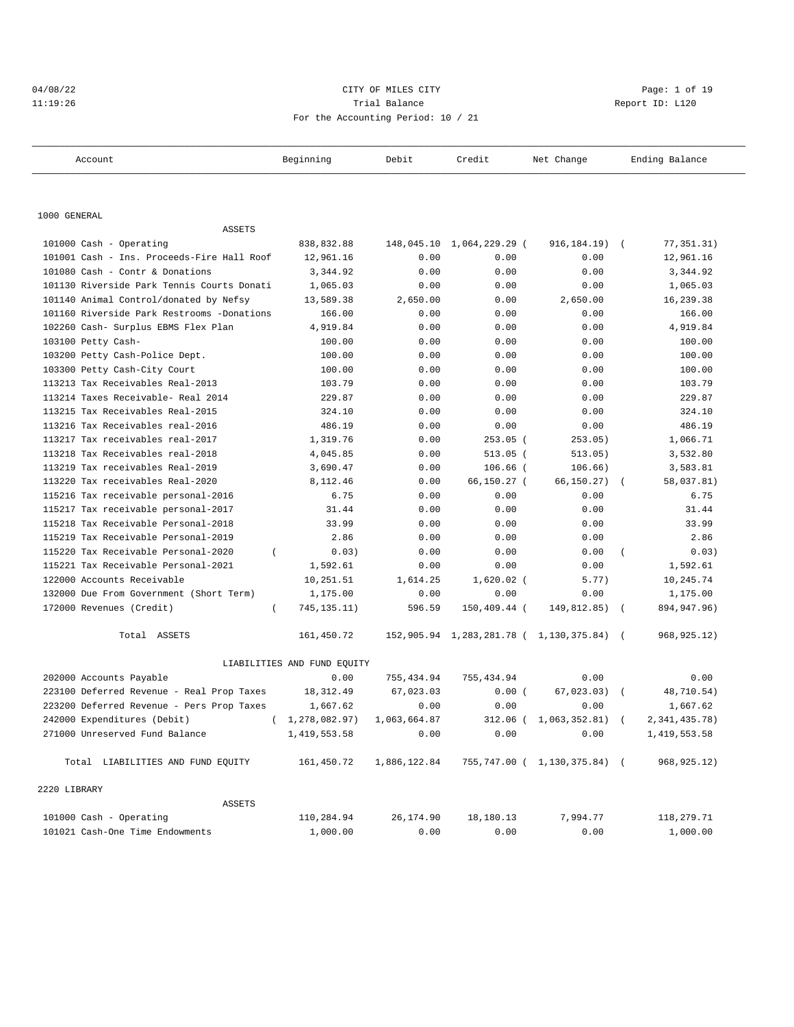## 04/08/22 CITY OF MILES CITY Page: 1 of 19 11:19:26 Trial Balance Report ID: L120 For the Accounting Period: 10 / 21

| Account                                         | Beginning                   | Debit        | Credit         | Net Change                                | Ending Balance           |
|-------------------------------------------------|-----------------------------|--------------|----------------|-------------------------------------------|--------------------------|
|                                                 |                             |              |                |                                           |                          |
| 1000 GENERAL                                    |                             |              |                |                                           |                          |
| <b>ASSETS</b>                                   |                             |              |                |                                           |                          |
| 101000 Cash - Operating                         | 838,832.88                  | 148,045.10   | 1,064,229.29 ( | 916,184.19)                               | 77,351.31)<br>$\sqrt{2}$ |
| 101001 Cash - Ins. Proceeds-Fire Hall Roof      | 12,961.16                   | 0.00         | 0.00           | 0.00                                      | 12,961.16                |
| 101080 Cash - Contr & Donations                 | 3,344.92                    | 0.00         | 0.00           | 0.00                                      | 3,344.92                 |
| 101130 Riverside Park Tennis Courts Donati      | 1,065.03                    | 0.00         | 0.00           | 0.00                                      | 1,065.03                 |
| 101140 Animal Control/donated by Nefsy          | 13,589.38                   | 2,650.00     | 0.00           | 2,650.00                                  | 16,239.38                |
| 101160 Riverside Park Restrooms -Donations      | 166.00                      | 0.00         | 0.00           | 0.00                                      | 166.00                   |
| 102260 Cash- Surplus EBMS Flex Plan             | 4,919.84                    | 0.00         | 0.00           | 0.00                                      | 4,919.84                 |
| 103100 Petty Cash-                              | 100.00                      | 0.00         | 0.00           | 0.00                                      | 100.00                   |
| 103200 Petty Cash-Police Dept.                  | 100.00                      | 0.00         | 0.00           | 0.00                                      | 100.00                   |
| 103300 Petty Cash-City Court                    | 100.00                      | 0.00         | 0.00           | 0.00                                      | 100.00                   |
| 113213 Tax Receivables Real-2013                | 103.79                      | 0.00         | 0.00           | 0.00                                      | 103.79                   |
| 113214 Taxes Receivable- Real 2014              | 229.87                      | 0.00         | 0.00           | 0.00                                      | 229.87                   |
| 113215 Tax Receivables Real-2015                | 324.10                      | 0.00         | 0.00           | 0.00                                      | 324.10                   |
| 113216 Tax Receivables real-2016                | 486.19                      | 0.00         | 0.00           | 0.00                                      | 486.19                   |
| 113217 Tax receivables real-2017                | 1,319.76                    | 0.00         | $253.05$ (     | 253.05)                                   | 1,066.71                 |
| 113218 Tax Receivables real-2018                | 4,045.85                    | 0.00         | $513.05$ (     | 513.05)                                   | 3,532.80                 |
| 113219 Tax receivables Real-2019                | 3,690.47                    | 0.00         | $106.66$ (     | 106.66)                                   | 3,583.81                 |
| 113220 Tax receivables Real-2020                | 8,112.46                    | 0.00         | 66,150.27 (    | 66,150.27)                                | 58,037.81)               |
| 115216 Tax receivable personal-2016             | 6.75                        | 0.00         | 0.00           | 0.00                                      | 6.75                     |
| 115217 Tax receivable personal-2017             | 31.44                       | 0.00         | 0.00           | 0.00                                      | 31.44                    |
| 115218 Tax Receivable Personal-2018             | 33.99                       | 0.00         | 0.00           | 0.00                                      | 33.99                    |
| 115219 Tax Receivable Personal-2019             | 2.86                        | 0.00         | 0.00           | 0.00                                      | 2.86                     |
| 115220 Tax Receivable Personal-2020<br>$\left($ | 0.03)                       | 0.00         | 0.00           | 0.00                                      | 0.03)<br>$\left($        |
| 115221 Tax Receivable Personal-2021             | 1,592.61                    | 0.00         | 0.00           | 0.00                                      | 1,592.61                 |
| 122000 Accounts Receivable                      | 10,251.51                   | 1,614.25     | $1,620.02$ (   | 5.77)                                     | 10,245.74                |
| 132000 Due From Government (Short Term)         | 1,175.00                    | 0.00         | 0.00           | 0.00                                      | 1,175.00                 |
| 172000 Revenues (Credit)<br>$\left($            | 745, 135. 11)               | 596.59       | 150,409.44 (   | $149,812.85)$ (                           | 894, 947. 96)            |
| Total ASSETS                                    | 161,450.72                  |              |                | 152,905.94 1,283,281.78 ( 1,130,375.84) ( | 968, 925. 12)            |
|                                                 | LIABILITIES AND FUND EQUITY |              |                |                                           |                          |
| 202000 Accounts Payable                         | 0.00                        | 755,434.94   | 755, 434.94    | 0.00                                      | 0.00                     |
| 223100 Deferred Revenue - Real Prop Taxes       | 18,312.49                   | 67,023.03    | 0.00(          | 67,023.03)                                | 48,710.54)               |
| 223200 Deferred Revenue - Pers Prop Taxes       | 1,667.62                    | 0.00         | 0.00           | 0.00                                      | 1,667.62                 |
| 242000 Expenditures (Debit)                     | (1, 278, 082.97)            | 1,063,664.87 |                | 312.06 ( 1,063,352.81) (                  | 2,341,435.78)            |
| 271000 Unreserved Fund Balance                  | 1,419,553.58                | 0.00         | 0.00           | 0.00                                      | 1,419,553.58             |
| Total LIABILITIES AND FUND EQUITY               | 161,450.72                  | 1,886,122.84 |                | 755,747.00 ( 1,130,375.84) (              | 968, 925. 12)            |
| 2220 LIBRARY                                    |                             |              |                |                                           |                          |
| ASSETS                                          |                             |              |                |                                           |                          |
| 101000 Cash - Operating                         | 110,284.94                  | 26,174.90    | 18,180.13      | 7,994.77                                  | 118,279.71               |
| 101021 Cash-One Time Endowments                 | 1,000.00                    | 0.00         | 0.00           | 0.00                                      | 1,000.00                 |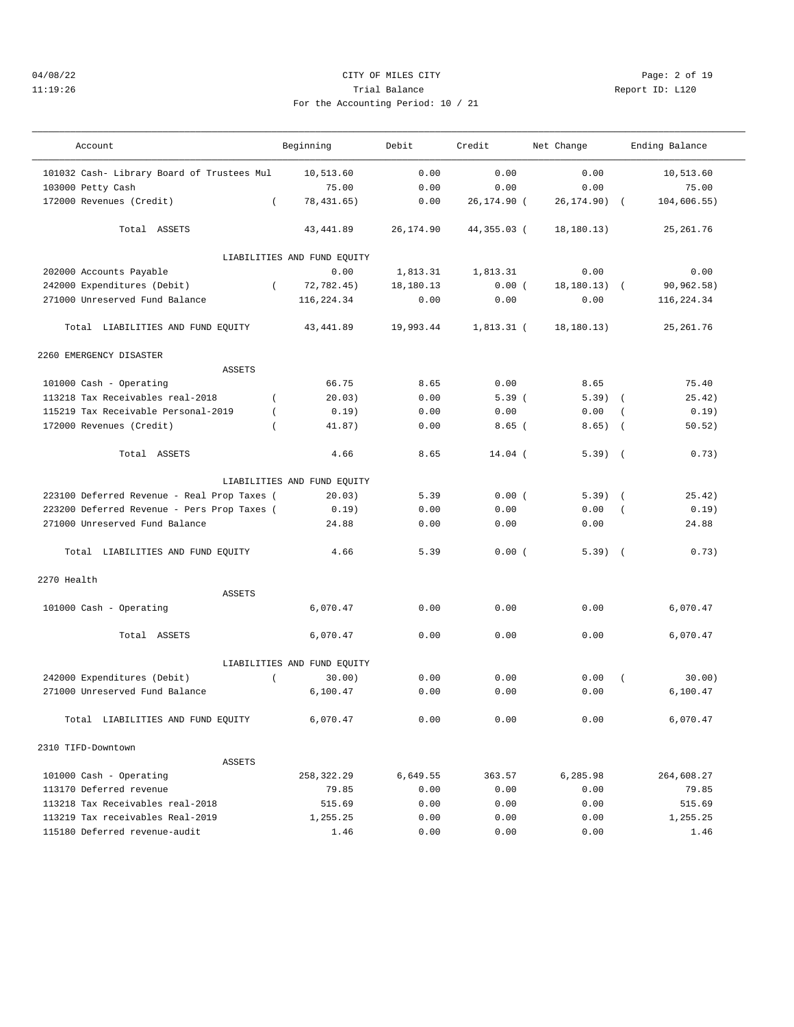# 04/08/22 CITY OF MILES CITY Page: 2 of 19 11:19:26 Trial Balance Report ID: L120 For the Accounting Period: 10 / 21

——————————————————————————————————————————————————————————————————————————————————————————————————————————————————————————————————— Account Beginning Debit Credit Net Change Ending Balance

| 101032 Cash- Library Board of Trustees Mul   | 10,513.60                           | 0.00       | 0.00         | 0.00            |            | 10,513.60  |  |
|----------------------------------------------|-------------------------------------|------------|--------------|-----------------|------------|------------|--|
| 103000 Petty Cash                            | 75.00                               | 0.00       | 0.00         | 0.00            |            | 75.00      |  |
| 172000 Revenues (Credit)<br>$\left($         | 78, 431.65)                         | 0.00       | 26,174.90 (  | 26,174.90) (    |            | 104.606.55 |  |
| Total ASSETS                                 | 43, 441.89                          | 26, 174.90 | 44,355.03 (  | 18, 180.13)     |            | 25, 261.76 |  |
|                                              |                                     |            |              |                 |            |            |  |
| 202000 Accounts Payable                      | LIABILITIES AND FUND EQUITY<br>0.00 | 1,813.31   | 1,813.31     | 0.00            |            | 0.00       |  |
| 242000 Expenditures (Debit)<br>$\left($      | 72.782.45                           | 18,180.13  | 0.00(        | $18, 180.13)$ ( |            | 90,962.58) |  |
| 271000 Unreserved Fund Balance               | 116,224.34                          | 0.00       | 0.00         | 0.00            |            | 116,224.34 |  |
|                                              |                                     |            |              |                 |            |            |  |
| Total LIABILITIES AND FUND EQUITY            | 43, 441.89                          | 19,993.44  | $1,813.31$ ( | 18, 180.13)     |            | 25, 261.76 |  |
| 2260 EMERGENCY DISASTER                      |                                     |            |              |                 |            |            |  |
| ASSETS                                       |                                     |            |              |                 |            |            |  |
| 101000 Cash - Operating                      | 66.75                               | 8.65       | 0.00         | 8.65            |            | 75.40      |  |
| 113218 Tax Receivables real-2018<br>$\left($ | 20.03)                              | 0.00       | 5.39(        | 5.39)           | $\sqrt{2}$ | 25.42)     |  |
| 115219 Tax Receivable Personal-2019          | 0.19)                               | 0.00       | 0.00         | 0.00            | $\left($   | 0.19)      |  |
| 172000 Revenues (Credit)                     | 41.87)                              | 0.00       | $8.65$ (     | 8.65)           | $\sqrt{2}$ | 50.52)     |  |
| Total ASSETS                                 | 4.66                                | 8.65       | $14.04$ (    | $5.39$ (        |            | 0.73)      |  |
|                                              | LIABILITIES AND FUND EQUITY         |            |              |                 |            |            |  |
| 223100 Deferred Revenue - Real Prop Taxes (  | 20.03)                              | 5.39       | 0.00(        | $5.39$ $($      |            | 25.42)     |  |
| 223200 Deferred Revenue - Pers Prop Taxes (  | 0.19)                               | 0.00       | 0.00         | 0.00            |            | 0.19)      |  |
| 271000 Unreserved Fund Balance               | 24.88                               | 0.00       | 0.00         | 0.00            |            | 24.88      |  |
| Total LIABILITIES AND FUND EQUITY            | 4.66                                | 5.39       | 0.00(        | $5.39$ $($      |            | 0.73)      |  |
| 2270 Health                                  |                                     |            |              |                 |            |            |  |
| <b>ASSETS</b>                                |                                     |            |              |                 |            |            |  |
| 101000 Cash - Operating                      | 6,070.47                            | 0.00       | 0.00         | 0.00            |            | 6,070.47   |  |
| Total ASSETS                                 | 6,070.47                            | 0.00       | 0.00         | 0.00            |            | 6,070.47   |  |
|                                              | LIABILITIES AND FUND EQUITY         |            |              |                 |            |            |  |
| 242000 Expenditures (Debit)<br>$\left($      | 30.00)                              | 0.00       | 0.00         | 0.00            | $\left($   | 30.00)     |  |
| 271000 Unreserved Fund Balance               | 6,100.47                            | 0.00       | 0.00         | 0.00            |            | 6,100.47   |  |
| Total LIABILITIES AND FUND EQUITY            | 6,070.47                            | 0.00       | 0.00         | 0.00            |            | 6,070.47   |  |
| 2310 TIFD-Downtown                           |                                     |            |              |                 |            |            |  |
| ASSETS                                       |                                     |            |              |                 |            |            |  |
| 101000 Cash - Operating                      | 258,322.29                          | 6,649.55   | 363.57       | 6,285.98        |            | 264,608.27 |  |
| 113170 Deferred revenue                      | 79.85                               | 0.00       | 0.00         | 0.00            |            | 79.85      |  |
| 113218 Tax Receivables real-2018             | 515.69                              | 0.00       | 0.00         | 0.00            |            | 515.69     |  |
| 113219 Tax receivables Real-2019             | 1,255.25                            | 0.00       | 0.00         | 0.00            |            | 1,255.25   |  |
| 115180 Deferred revenue-audit                | 1.46                                | 0.00       | 0.00         | 0.00            |            | 1.46       |  |
|                                              |                                     |            |              |                 |            |            |  |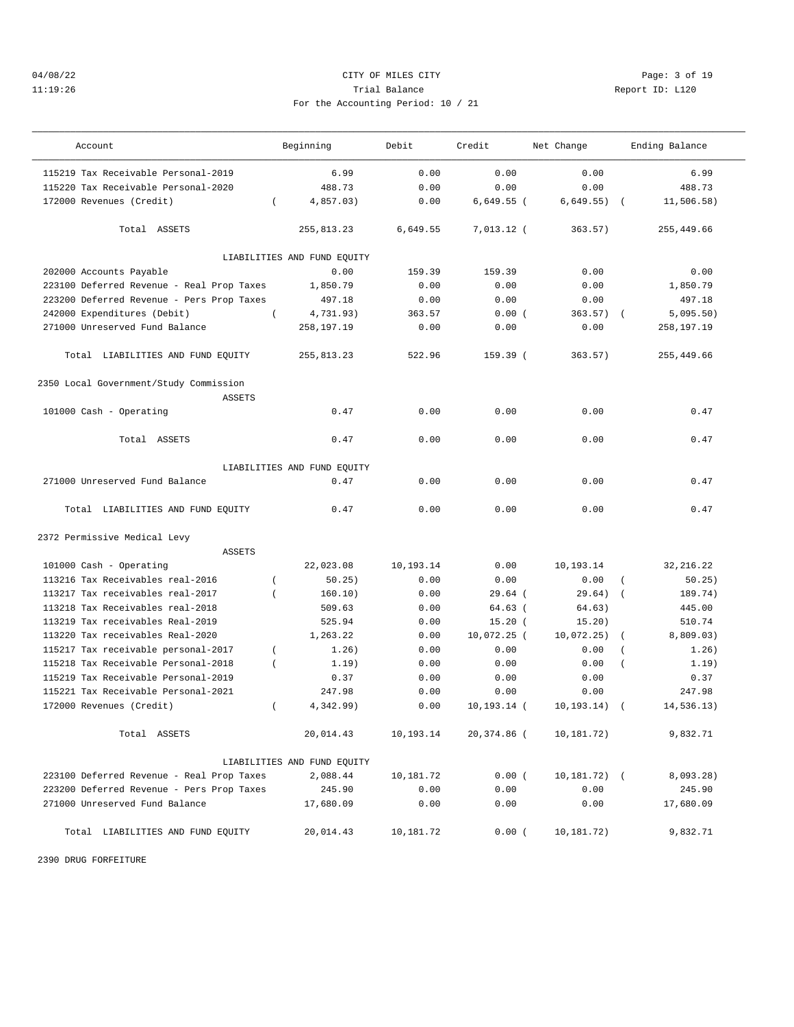## 04/08/22 CITY OF MILES CITY Page: 3 of 19 11:19:26 Trial Balance Report ID: L120 For the Accounting Period: 10 / 21

| Account                                   | Beginning                   | Debit     | Credit         | Net Change       | Ending Balance            |
|-------------------------------------------|-----------------------------|-----------|----------------|------------------|---------------------------|
| 115219 Tax Receivable Personal-2019       | 6.99                        | 0.00      | 0.00           | 0.00             | 6.99                      |
| 115220 Tax Receivable Personal-2020       | 488.73                      | 0.00      | 0.00           | 0.00             | 488.73                    |
| 172000 Revenues (Credit)                  | 4,857.03)<br>$\left($       | 0.00      | 6,649.55 (     | 6,649.55)        | 11,506.58)                |
| Total ASSETS                              | 255,813.23                  | 6,649.55  | $7,013.12$ (   | 363.57)          | 255,449.66                |
|                                           | LIABILITIES AND FUND EQUITY |           |                |                  |                           |
| 202000 Accounts Payable                   | 0.00                        | 159.39    | 159.39         | 0.00             | 0.00                      |
| 223100 Deferred Revenue - Real Prop Taxes | 1,850.79                    | 0.00      | 0.00           | 0.00             | 1,850.79                  |
| 223200 Deferred Revenue - Pers Prop Taxes | 497.18                      | 0.00      | 0.00           | 0.00             | 497.18                    |
| 242000 Expenditures (Debit)               | $\left($<br>4,731.93)       | 363.57    | 0.00(          | 363.57)          | 5,095.50)                 |
| 271000 Unreserved Fund Balance            | 258,197.19                  | 0.00      | 0.00           | 0.00             | 258,197.19                |
| Total LIABILITIES AND FUND EQUITY         | 255,813.23                  | 522.96    | 159.39 (       | 363.57)          | 255,449.66                |
| 2350 Local Government/Study Commission    |                             |           |                |                  |                           |
| ASSETS                                    |                             |           |                |                  |                           |
| 101000 Cash - Operating                   | 0.47                        | 0.00      | 0.00           | 0.00             | 0.47                      |
| Total ASSETS                              | 0.47                        | 0.00      | 0.00           | 0.00             | 0.47                      |
|                                           | LIABILITIES AND FUND EQUITY |           |                |                  |                           |
| 271000 Unreserved Fund Balance            | 0.47                        | 0.00      | 0.00           | 0.00             | 0.47                      |
|                                           |                             |           |                |                  |                           |
| Total LIABILITIES AND FUND EQUITY         | 0.47                        | 0.00      | 0.00           | 0.00             | 0.47                      |
| 2372 Permissive Medical Levy              |                             |           |                |                  |                           |
| <b>ASSETS</b>                             |                             |           |                |                  |                           |
| 101000 Cash - Operating                   | 22,023.08                   | 10,193.14 | 0.00           | 10,193.14        | 32, 216.22                |
| 113216 Tax Receivables real-2016          | 50.25)                      | 0.00      | 0.00           | 0.00             | 50.25)                    |
| 113217 Tax receivables real-2017          | 160.10)<br>$\overline{ }$   | 0.00      | $29.64$ (      | 29.64)           | 189.74)<br>$\overline{ }$ |
| 113218 Tax Receivables real-2018          | 509.63                      | 0.00      | $64.63$ (      | 64.63)           | 445.00                    |
| 113219 Tax receivables Real-2019          | 525.94                      | 0.00      | $15.20$ (      | 15.20)           | 510.74                    |
| 113220 Tax receivables Real-2020          | 1,263.22                    | 0.00      | 10,072.25 (    | 10,072.25)       | 8,809.03)<br>$\left($     |
| 115217 Tax receivable personal-2017       | 1.26)<br>$\left($           | 0.00      | 0.00           | 0.00             | 1.26)<br>$\left($         |
| 115218 Tax Receivable Personal-2018       | $\overline{(\ }$<br>1.19)   | 0.00      | 0.00           | 0.00             | 1.19)<br>$\overline{(\ }$ |
| 115219 Tax Receivable Personal-2019       | 0.37                        | 0.00      | 0.00           | 0.00             | 0.37                      |
| 115221 Tax Receivable Personal-2021       | 247.98                      | 0.00      | 0.00           | 0.00             | 247.98                    |
| 172000 Revenues (Credit)                  | 4,342.99)<br>$\overline{ }$ | 0.00      | $10, 193.14$ ( | 10, 193.14)      | 14,536.13)                |
| Total ASSETS                              | 20,014.43                   | 10,193.14 | 20,374.86 (    | 10,181.72)       | 9,832.71                  |
|                                           | LIABILITIES AND FUND EQUITY |           |                |                  |                           |
| 223100 Deferred Revenue - Real Prop Taxes | 2,088.44                    | 10,181.72 | 0.00(          | $10, 181.72$ ) ( | 8,093.28)                 |
| 223200 Deferred Revenue - Pers Prop Taxes | 245.90                      | 0.00      | 0.00           | 0.00             | 245.90                    |
| 271000 Unreserved Fund Balance            | 17,680.09                   | 0.00      | 0.00           | 0.00             | 17,680.09                 |
| Total LIABILITIES AND FUND EQUITY         | 20,014.43                   | 10,181.72 | 0.00(          | 10,181.72)       | 9,832.71                  |

2390 DRUG FORFEITURE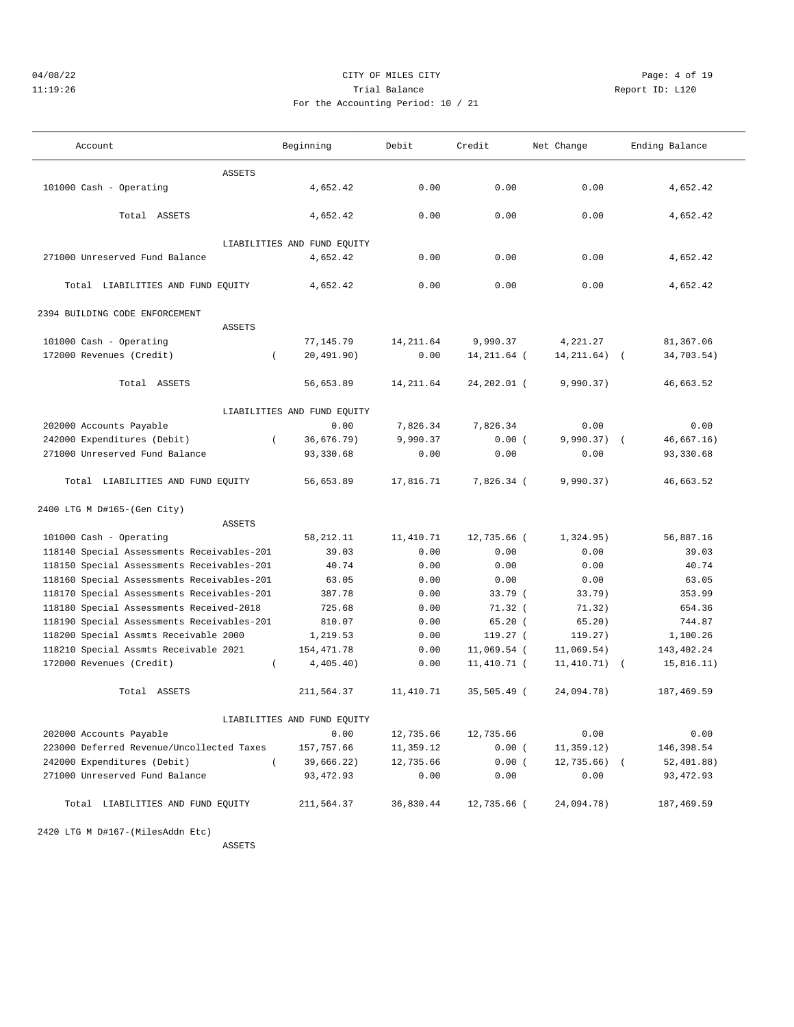## 04/08/22 Page: 4 of 19 11:19:26 Trial Balance Report ID: L120 For the Accounting Period: 10 / 21

| Account                                    | Beginning                   | Debit      | Credit        | Net Change    | Ending Balance |
|--------------------------------------------|-----------------------------|------------|---------------|---------------|----------------|
| ASSETS                                     |                             |            |               |               |                |
| 101000 Cash - Operating                    | 4,652.42                    | 0.00       | 0.00          | 0.00          | 4,652.42       |
| Total ASSETS                               | 4,652.42                    | 0.00       | 0.00          | 0.00          | 4,652.42       |
|                                            | LIABILITIES AND FUND EQUITY |            |               |               |                |
| 271000 Unreserved Fund Balance             | 4,652.42                    | 0.00       | 0.00          | 0.00          | 4,652.42       |
| Total LIABILITIES AND FUND EQUITY          | 4,652.42                    | 0.00       | 0.00          | 0.00          | 4,652.42       |
| 2394 BUILDING CODE ENFORCEMENT             |                             |            |               |               |                |
| <b>ASSETS</b>                              |                             |            |               |               |                |
| 101000 Cash - Operating                    | 77,145.79                   | 14, 211.64 | 9,990.37      | 4,221.27      | 81,367.06      |
| 172000 Revenues (Credit)                   | 20, 491.90)                 | 0.00       | 14,211.64 (   | 14, 211.64)   | 34,703.54)     |
| Total ASSETS                               | 56,653.89                   | 14, 211.64 | 24,202.01 (   | 9,990.37)     | 46,663.52      |
|                                            | LIABILITIES AND FUND EQUITY |            |               |               |                |
| 202000 Accounts Payable                    | 0.00                        | 7,826.34   | 7,826.34      | 0.00          | 0.00           |
| 242000 Expenditures (Debit)                | 36,676.79)<br>$\left($      | 9,990.37   | 0.00(         | $9,990.37)$ ( | 46,667.16)     |
| 271000 Unreserved Fund Balance             | 93,330.68                   | 0.00       | 0.00          | 0.00          | 93,330.68      |
| Total LIABILITIES AND FUND EQUITY          | 56,653.89                   | 17,816.71  | 7,826.34 (    | 9,990.37)     | 46,663.52      |
| 2400 LTG M D#165-(Gen City)                |                             |            |               |               |                |
| ASSETS                                     |                             |            |               |               |                |
| 101000 Cash - Operating                    | 58, 212. 11                 | 11,410.71  | 12,735.66 (   | 1,324.95)     | 56,887.16      |
| 118140 Special Assessments Receivables-201 | 39.03                       | 0.00       | 0.00          | 0.00          | 39.03          |
| 118150 Special Assessments Receivables-201 | 40.74                       | 0.00       | 0.00          | 0.00          | 40.74          |
| 118160 Special Assessments Receivables-201 | 63.05                       | 0.00       | 0.00          | 0.00          | 63.05          |
| 118170 Special Assessments Receivables-201 | 387.78                      | 0.00       | 33.79(        | 33.79)        | 353.99         |
| 118180 Special Assessments Received-2018   | 725.68                      | 0.00       | $71.32$ (     | 71.32)        | 654.36         |
| 118190 Special Assessments Receivables-201 | 810.07                      | 0.00       | 65.20(        | 65.20)        | 744.87         |
| 118200 Special Assmts Receivable 2000      | 1,219.53                    | 0.00       | 119.27(       | 119.27)       | 1,100.26       |
| 118210 Special Assmts Receivable 2021      | 154,471.78                  | 0.00       | $11,069.54$ ( | 11,069.54)    | 143, 402. 24   |
| 172000 Revenues (Credit)                   | 4,405.40)<br>$\left($       | 0.00       | 11,410.71 (   | 11,410.71)    | 15,816.11)     |
| Total ASSETS                               | 211,564.37                  | 11,410.71  | 35,505.49 (   | 24,094.78)    | 187,469.59     |
|                                            | LIABILITIES AND FUND EQUITY |            |               |               |                |
| 202000 Accounts Payable                    | 0.00                        | 12,735.66  | 12,735.66     | 0.00          | 0.00           |
| 223000 Deferred Revenue/Uncollected Taxes  | 157,757.66                  | 11,359.12  | 0.00(         | 11,359.12)    | 146,398.54     |
| 242000 Expenditures (Debit)                | $\left($<br>39,666.22)      | 12,735.66  | 0.00(         | $12,735.66$ ( | 52,401.88)     |
| 271000 Unreserved Fund Balance             | 93, 472.93                  | 0.00       | 0.00          | 0.00          | 93,472.93      |
| Total LIABILITIES AND FUND EQUITY          | 211,564.37                  | 36,830.44  | 12,735.66 (   | 24,094.78)    | 187,469.59     |

2420 LTG M D#167-(MilesAddn Etc)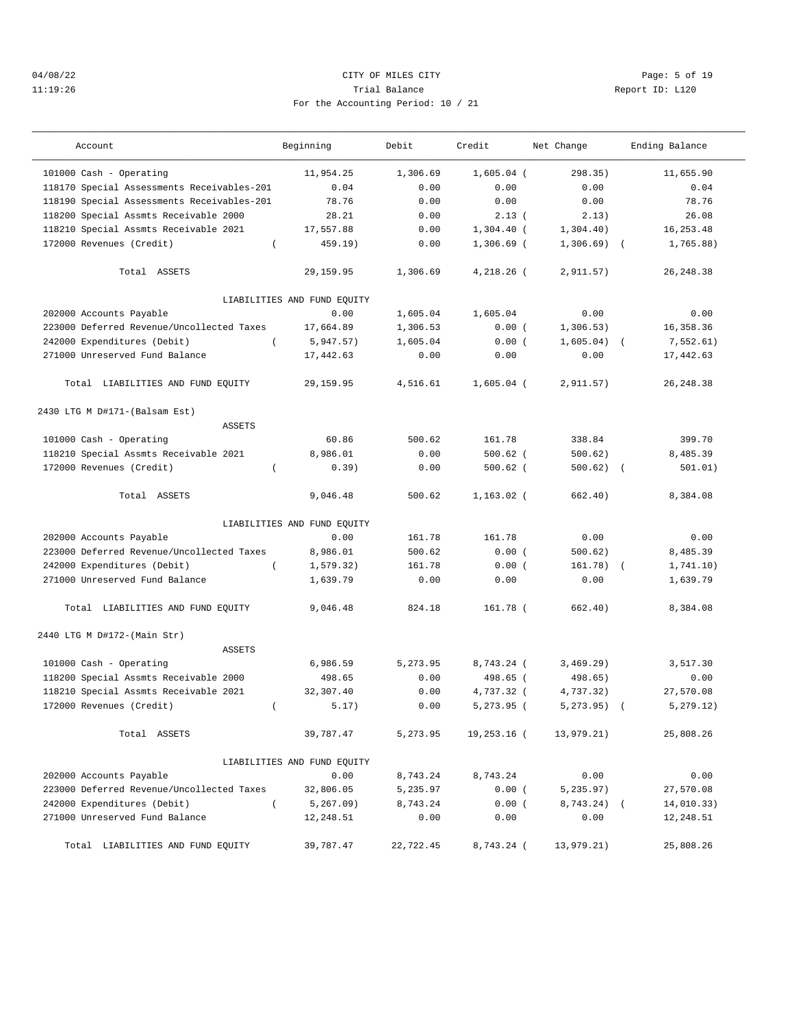## 04/08/22 Page: 5 of 19 11:19:26 Trial Balance Report ID: L120 For the Accounting Period: 10 / 21

| Account                                    | Beginning                   | Debit     | Credit       | Net Change   | Ending Balance |
|--------------------------------------------|-----------------------------|-----------|--------------|--------------|----------------|
| 101000 Cash - Operating                    | 11,954.25                   | 1,306.69  | $1,605.04$ ( | 298.35)      | 11,655.90      |
| 118170 Special Assessments Receivables-201 | 0.04                        | 0.00      | 0.00         | 0.00         | 0.04           |
| 118190 Special Assessments Receivables-201 | 78.76                       | 0.00      | 0.00         | 0.00         | 78.76          |
| 118200 Special Assmts Receivable 2000      | 28.21                       | 0.00      | 2.13(        | 2.13)        | 26.08          |
| 118210 Special Assmts Receivable 2021      | 17,557.88                   | 0.00      | $1,304.40$ ( | 1,304.40)    | 16,253.48      |
| 172000 Revenues (Credit)<br>$\left($       | 459.19)                     | 0.00      | $1,306.69$ ( | $1,306.69$ ( | 1,765.88)      |
| Total ASSETS                               | 29,159.95                   | 1,306.69  | 4,218.26 (   | 2,911.57)    | 26, 248.38     |
|                                            | LIABILITIES AND FUND EQUITY |           |              |              |                |
| 202000 Accounts Payable                    | 0.00                        | 1,605.04  | 1,605.04     | 0.00         | 0.00           |
| 223000 Deferred Revenue/Uncollected Taxes  | 17,664.89                   | 1,306.53  | 0.00(        | 1,306.53)    | 16,358.36      |
| 242000 Expenditures (Debit)                | 5,947.57)                   | 1,605.04  | 0.00(        | 1,605.04)    | 7,552.61)      |
| 271000 Unreserved Fund Balance             | 17,442.63                   | 0.00      | 0.00         | 0.00         | 17,442.63      |
| Total LIABILITIES AND FUND EQUITY          | 29, 159.95                  | 4,516.61  | $1,605.04$ ( | 2,911.57)    | 26, 248.38     |
| 2430 LTG M D#171-(Balsam Est)              |                             |           |              |              |                |
| <b>ASSETS</b>                              |                             |           |              |              |                |
| 101000 Cash - Operating                    | 60.86                       | 500.62    | 161.78       | 338.84       | 399.70         |
| 118210 Special Assmts Receivable 2021      | 8,986.01                    | 0.00      | $500.62$ (   | 500.62)      | 8,485.39       |
| 172000 Revenues (Credit)                   | 0.39)                       | 0.00      | $500.62$ (   | 500.62)      | 501.01)        |
| Total ASSETS                               | 9,046.48                    | 500.62    | $1,163.02$ ( | 662.40)      | 8,384.08       |
|                                            | LIABILITIES AND FUND EQUITY |           |              |              |                |
| 202000 Accounts Payable                    | 0.00                        | 161.78    | 161.78       | 0.00         | 0.00           |
| 223000 Deferred Revenue/Uncollected Taxes  | 8,986.01                    | 500.62    | 0.00(        | 500.62)      | 8,485.39       |
| 242000 Expenditures (Debit)<br>$\left($    | 1, 579.32)                  | 161.78    | 0.00(        | $161.78$ (   | 1,741.10)      |
| 271000 Unreserved Fund Balance             | 1,639.79                    | 0.00      | 0.00         | 0.00         | 1,639.79       |
| Total LIABILITIES AND FUND EQUITY          | 9,046.48                    | 824.18    | 161.78 (     | 662.40)      | 8,384.08       |
| 2440 LTG M D#172-(Main Str)                |                             |           |              |              |                |
| <b>ASSETS</b>                              |                             |           |              |              |                |
| 101000 Cash - Operating                    | 6,986.59                    | 5,273.95  | 8,743.24 (   | 3,469.29)    | 3,517.30       |
| 118200 Special Assmts Receivable 2000      | 498.65                      | 0.00      | 498.65 (     | 498.65)      | 0.00           |
| 118210 Special Assmts Receivable 2021      | 32,307.40                   | 0.00      | 4,737.32 (   | 4,737.32)    | 27,570.08      |
| 172000 Revenues (Credit)<br>$\left($       | 5.17)                       | 0.00      | 5,273.95 (   | 5, 273.95)   | 5, 279.12)     |
| Total ASSETS                               | 39,787.47                   | 5,273.95  | 19,253.16 (  | 13,979.21)   | 25,808.26      |
|                                            | LIABILITIES AND FUND EQUITY |           |              |              |                |
| 202000 Accounts Payable                    | 0.00                        | 8,743.24  | 8,743.24     | 0.00         | 0.00           |
| 223000 Deferred Revenue/Uncollected Taxes  | 32,806.05                   | 5,235.97  | 0.00(        | 5, 235.97)   | 27,570.08      |
| 242000 Expenditures (Debit)<br>$\left($    | $5, 267.09$ )               | 8,743.24  | 0.00(        | $8,743.24$ ( | 14,010.33)     |
| 271000 Unreserved Fund Balance             | 12,248.51                   | 0.00      | 0.00         | 0.00         | 12,248.51      |
| Total LIABILITIES AND FUND EQUITY          | 39,787.47                   | 22,722.45 | 8,743.24 (   | 13,979.21)   | 25,808.26      |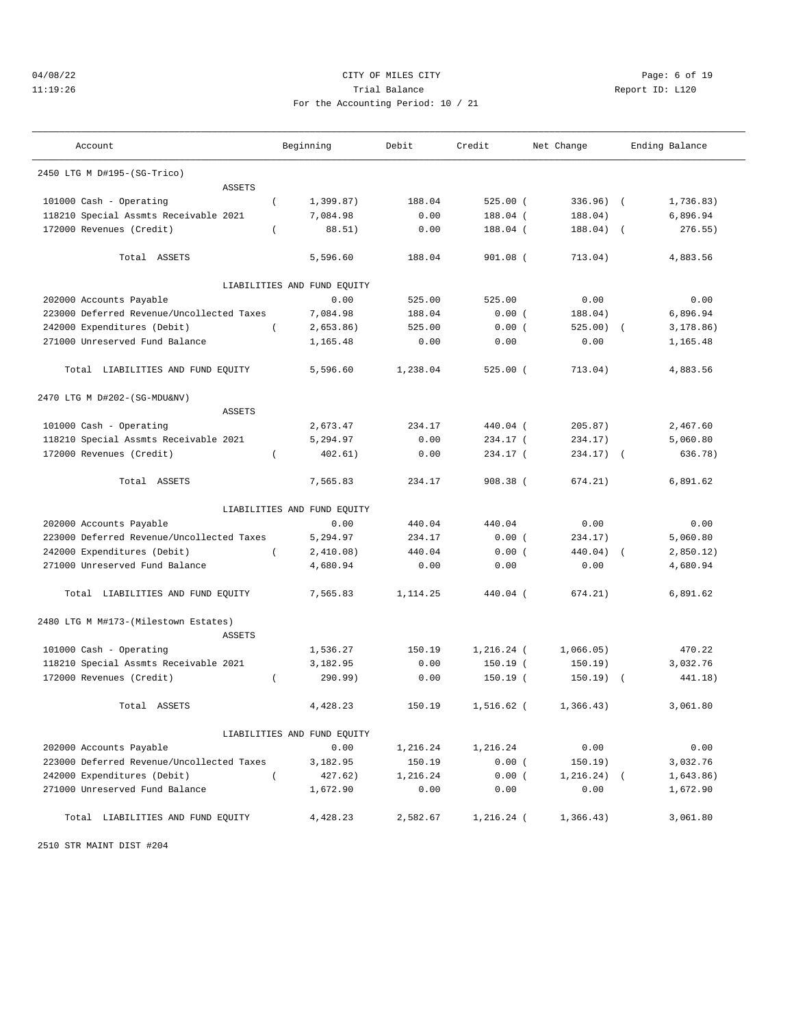# 04/08/22 CITY OF MILES CITY Page: 6 of 19 11:19:26 Trial Balance Report ID: L120 For the Accounting Period: 10 / 21

| Account                                   |                | Beginning                   | Debit    | Credit       | Net Change    |            | Ending Balance |
|-------------------------------------------|----------------|-----------------------------|----------|--------------|---------------|------------|----------------|
| 2450 LTG M D#195-(SG-Trico)               |                |                             |          |              |               |            |                |
| <b>ASSETS</b>                             |                |                             |          |              |               |            |                |
| 101000 Cash - Operating                   | $\overline{ }$ | 1,399.87)                   | 188.04   | $525.00$ (   | $336.96)$ (   |            | 1,736.83)      |
| 118210 Special Assmts Receivable 2021     |                | 7,084.98                    | 0.00     | 188.04 (     | 188.04)       |            | 6,896.94       |
| 172000 Revenues (Credit)                  | $\left($       | 88.51)                      | 0.00     | 188.04 (     | 188.04)       | $\sqrt{ }$ | 276.55)        |
| Total ASSETS                              |                | 5,596.60                    | 188.04   | $901.08$ (   | 713.04)       |            | 4,883.56       |
|                                           |                | LIABILITIES AND FUND EQUITY |          |              |               |            |                |
| 202000 Accounts Payable                   |                | 0.00                        | 525.00   | 525.00       | 0.00          |            | 0.00           |
| 223000 Deferred Revenue/Uncollected Taxes |                | 7,084.98                    | 188.04   | 0.00(        | 188.04)       |            | 6,896.94       |
| 242000 Expenditures (Debit)               | $\left($       | 2,653.86)                   | 525.00   | 0.00(        | 525.00)       |            | 3,178.86)      |
| 271000 Unreserved Fund Balance            |                | 1,165.48                    | 0.00     | 0.00         | 0.00          |            | 1,165.48       |
| Total LIABILITIES AND FUND EQUITY         |                | 5,596.60                    | 1,238.04 | $525.00$ (   | 713.04)       |            | 4,883.56       |
| 2470 LTG M D#202-(SG-MDU&NV)              |                |                             |          |              |               |            |                |
| ASSETS                                    |                |                             |          |              |               |            |                |
| 101000 Cash - Operating                   |                | 2,673.47                    | 234.17   | 440.04 (     | 205.87)       |            | 2,467.60       |
| 118210 Special Assmts Receivable 2021     |                | 5,294.97                    | 0.00     | 234.17 (     | 234.17)       |            | 5,060.80       |
| 172000 Revenues (Credit)                  | $\left($       | 402.61)                     | 0.00     | 234.17 (     | 234.17)       | $\sqrt{2}$ | 636.78)        |
| Total ASSETS                              |                | 7,565.83                    | 234.17   | 908.38 (     | 674.21)       |            | 6,891.62       |
|                                           |                | LIABILITIES AND FUND EQUITY |          |              |               |            |                |
| 202000 Accounts Payable                   |                | 0.00                        | 440.04   | 440.04       | 0.00          |            | 0.00           |
| 223000 Deferred Revenue/Uncollected Taxes |                | 5,294.97                    | 234.17   | 0.00(        | 234.17)       |            | 5,060.80       |
| 242000 Expenditures (Debit)               | $\left($       | 2,410.08)                   | 440.04   | 0.00(        | 440.04)       |            | 2,850.12)      |
| 271000 Unreserved Fund Balance            |                | 4,680.94                    | 0.00     | 0.00         | 0.00          |            | 4,680.94       |
| Total LIABILITIES AND FUND EQUITY         |                | 7,565.83                    | 1,114.25 | 440.04 (     | 674.21)       |            | 6,891.62       |
| 2480 LTG M M#173-(Milestown Estates)      |                |                             |          |              |               |            |                |
| <b>ASSETS</b><br>101000 Cash - Operating  |                | 1,536.27                    | 150.19   | $1,216.24$ ( | 1,066.05)     |            | 470.22         |
| 118210 Special Assmts Receivable 2021     |                | 3,182.95                    | 0.00     | $150.19$ (   | 150.19)       |            | 3,032.76       |
| 172000 Revenues (Credit)                  |                | 290.99)                     | 0.00     |              | 150.19)       |            | 441.18)        |
|                                           | $\left($       |                             |          | $150.19$ (   |               | $\sqrt{2}$ |                |
| Total ASSETS                              |                | 4,428.23                    | 150.19   | 1,516.62 (   | 1,366.43)     |            | 3,061.80       |
|                                           |                | LIABILITIES AND FUND EQUITY |          |              |               |            |                |
| 202000 Accounts Payable                   |                | 0.00                        | 1,216.24 | 1,216.24     | 0.00          |            | 0.00           |
| 223000 Deferred Revenue/Uncollected Taxes |                | 3,182.95                    | 150.19   | 0.00(        | 150.19)       |            | 3,032.76       |
| 242000 Expenditures (Debit)               | $\left($       | 427.62)                     | 1,216.24 | 0.00(        | $1, 216.24$ ( |            | 1,643.86)      |
| 271000 Unreserved Fund Balance            |                | 1,672.90                    | 0.00     | 0.00         | 0.00          |            | 1,672.90       |
| Total LIABILITIES AND FUND EQUITY         |                | 4,428.23                    | 2,582.67 | 1,216.24 (   | 1,366.43)     |            | 3,061.80       |

2510 STR MAINT DIST #204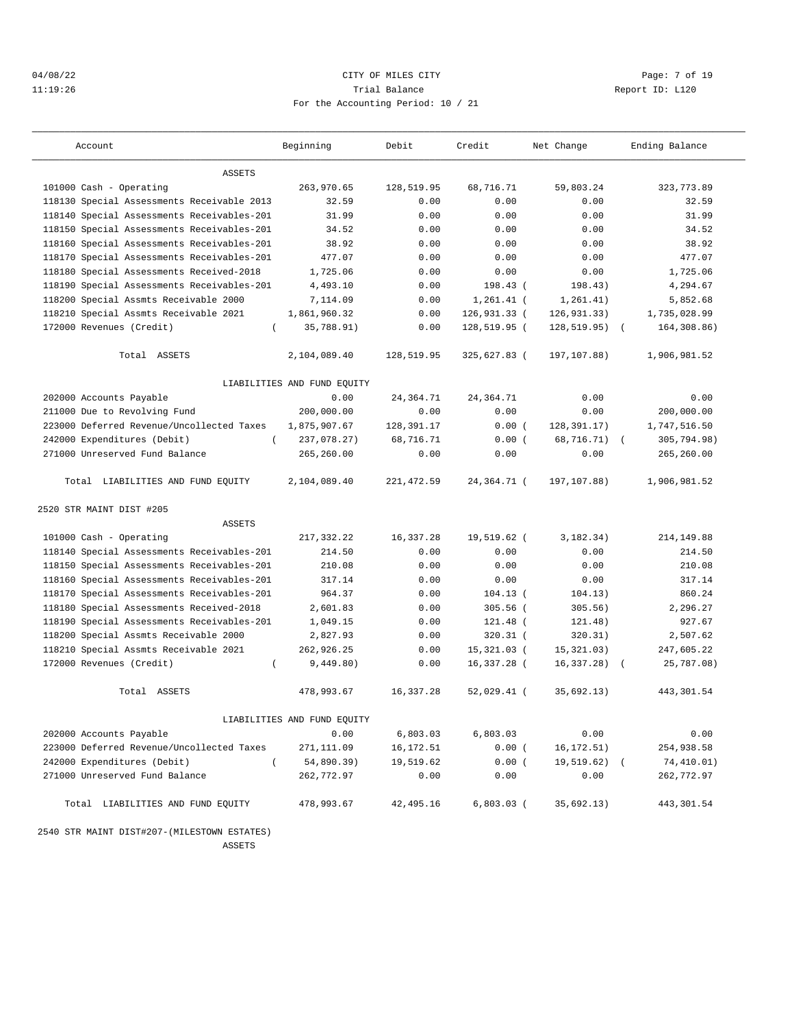## 04/08/22 Page: 7 of 19 11:19:26 Trial Balance Report ID: L120 For the Accounting Period: 10 / 21

| Account                                     | Beginning                   | Debit        | Credit        | Net Change    | Ending Balance            |
|---------------------------------------------|-----------------------------|--------------|---------------|---------------|---------------------------|
| <b>ASSETS</b>                               |                             |              |               |               |                           |
| 101000 Cash - Operating                     | 263,970.65                  | 128,519.95   | 68,716.71     | 59,803.24     | 323, 773.89               |
| 118130 Special Assessments Receivable 2013  | 32.59                       | 0.00         | 0.00          | 0.00          | 32.59                     |
| 118140 Special Assessments Receivables-201  | 31.99                       | 0.00         | 0.00          | 0.00          | 31.99                     |
| 118150 Special Assessments Receivables-201  | 34.52                       | 0.00         | 0.00          | 0.00          | 34.52                     |
| 118160 Special Assessments Receivables-201  | 38.92                       | 0.00         | 0.00          | 0.00          | 38.92                     |
| 118170 Special Assessments Receivables-201  | 477.07                      | 0.00         | 0.00          | 0.00          | 477.07                    |
| 118180 Special Assessments Received-2018    | 1,725.06                    | 0.00         | 0.00          | 0.00          | 1,725.06                  |
| 118190 Special Assessments Receivables-201  | 4,493.10                    | 0.00         | 198.43(       | 198.43)       | 4,294.67                  |
| 118200 Special Assmts Receivable 2000       | 7,114.09                    | 0.00         | $1,261.41$ (  | 1, 261.41)    | 5,852.68                  |
| 118210 Special Assmts Receivable 2021       | 1,861,960.32                | 0.00         | 126,931.33 (  | 126, 931.33)  | 1,735,028.99              |
| 172000 Revenues (Credit)<br>$\left($        | 35,788.91)                  | 0.00         | 128,519.95 (  | 128, 519.95)  | 164,308.86)               |
|                                             |                             |              |               |               |                           |
| Total ASSETS                                | 2,104,089.40                | 128,519.95   | 325,627.83 (  | 197,107.88)   | 1,906,981.52              |
|                                             | LIABILITIES AND FUND EQUITY |              |               |               |                           |
| 202000 Accounts Payable                     | 0.00                        | 24, 364. 71  | 24,364.71     | 0.00          | 0.00                      |
| 211000 Due to Revolving Fund                | 200,000.00                  | 0.00         | 0.00          | 0.00          | 200,000.00                |
| 223000 Deferred Revenue/Uncollected Taxes   | 1,875,907.67                | 128, 391. 17 | 0.00(         | 128,391.17)   | 1,747,516.50              |
| 242000 Expenditures (Debit)<br>$\left($     | 237,078.27)                 | 68,716.71    | 0.00(         | 68,716.71)    | 305,794.98)<br>$\sqrt{2}$ |
| 271000 Unreserved Fund Balance              | 265,260.00                  | 0.00         | 0.00          | 0.00          | 265,260.00                |
| Total LIABILITIES AND FUND EQUITY           | 2,104,089.40                | 221, 472.59  | $24.364.71$ ( | 197,107.88)   | 1,906,981.52              |
| 2520 STR MAINT DIST #205                    |                             |              |               |               |                           |
| <b>ASSETS</b>                               |                             |              |               |               |                           |
| 101000 Cash - Operating                     | 217,332.22                  | 16,337.28    | 19,519.62 (   | 3,182.34)     | 214, 149.88               |
| 118140 Special Assessments Receivables-201  | 214.50                      | 0.00         | 0.00          | 0.00          | 214.50                    |
| 118150 Special Assessments Receivables-201  | 210.08                      | 0.00         | 0.00          | 0.00          | 210.08                    |
| 118160 Special Assessments Receivables-201  | 317.14                      | 0.00         | 0.00          | 0.00          | 317.14                    |
| 118170 Special Assessments Receivables-201  | 964.37                      | 0.00         | $104.13$ (    | 104.13)       | 860.24                    |
| 118180 Special Assessments Received-2018    | 2,601.83                    | 0.00         | $305.56$ (    | 305.56)       | 2,296.27                  |
| 118190 Special Assessments Receivables-201  | 1,049.15                    | 0.00         | 121.48 (      | 121.48)       | 927.67                    |
| 118200 Special Assmts Receivable 2000       | 2,827.93                    | 0.00         | $320.31$ (    | 320.31)       | 2,507.62                  |
| 118210 Special Assmts Receivable 2021       | 262,926.25                  | 0.00         | $15,321.03$ ( | 15, 321.03)   | 247,605.22                |
| 172000 Revenues (Credit)<br>$\left($        | 9,449.80)                   | 0.00         | 16,337.28 (   | 16, 337.28)   | 25,787.08)                |
| Total ASSETS                                | 478,993.67                  | 16, 337.28   | $52,029.41$ ( | 35,692.13)    | 443, 301.54               |
|                                             | LIABILITIES AND FUND EQUITY |              |               |               |                           |
| 202000 Accounts Payable                     | 0.00                        | 6,803.03     | 6,803.03      | 0.00          | 0.00                      |
| 223000 Deferred Revenue/Uncollected Taxes   | 271,111.09                  | 16,172.51    | 0.00(         | 16,172.51)    | 254,938.58                |
| 242000 Expenditures (Debit)<br>$\left($     | 54,890.39)                  | 19,519.62    | 0.00(         | $19,519.62$ ( | 74,410.01)                |
| 271000 Unreserved Fund Balance              | 262,772.97                  | 0.00         | 0.00          | 0.00          | 262,772.97                |
| Total LIABILITIES AND FUND EQUITY           | 478,993.67                  | 42,495.16    | $6,803.03$ (  | 35,692.13)    | 443,301.54                |
| 2540 STR MAINT DIST#207-(MILESTOWN ESTATES) |                             |              |               |               |                           |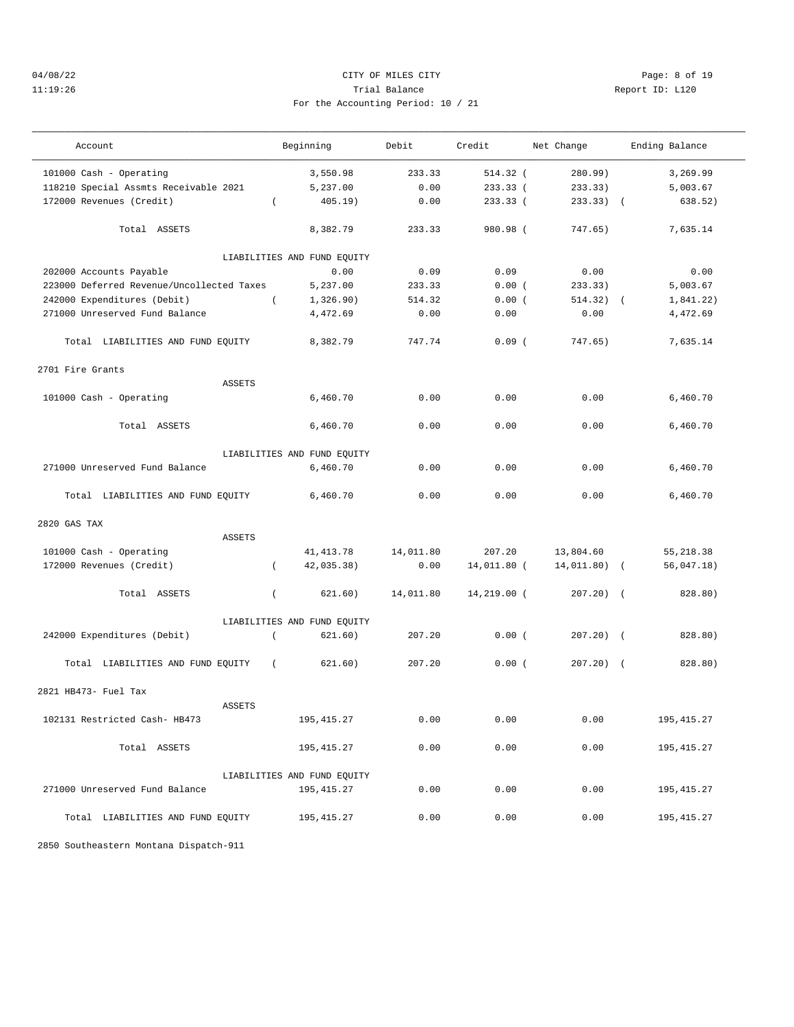2701 Fire Grants

### 04/08/22 Page: 8 of 19 11:19:26 Trial Balance Report ID: L120 For the Accounting Period: 10 / 21

——————————————————————————————————————————————————————————————————————————————————————————————————————————————————————————————————— Account and Beginning Debit Credit Net Change Ending Balance

——————————————————————————————————————————————————————————————————————————————————————————————————————————————————————————————————— 101000 Cash - Operating 3,550.98 233.33 514.32 ( 280.99) 3,269.99 118210 Special Assmts Receivable 2021 5,237.00 0.00 233.33 ( 233.33) 5,003.67 172000 Revenues (Credit) ( 405.19) 0.00 233.33 ( 233.33) ( 638.52) Total ASSETS 8,382.79 233.33 980.98 ( 747.65) 7,635.14 LIABILITIES AND FUND EQUITY 202000 Accounts Payable 0.00 0.09 0.09 0.00 0.00 223000 Deferred Revenue/Uncollected Taxes 5,237.00 233.33 0.00 (233.33) 5,003.67<br>242000 Expenditures (Debit) (2.326.90) 514.32 0.00 (514.32) (1,841.22 242000 Expenditures (Debit) ( 1,326.90) 514.32 0.00 ( 514.32) ( 1,841.22) 271000 Unreserved Fund Balance 4,472.69 0.00 0.00 0.00 4,472.69 Total LIABILITIES AND FUND EQUITY 8,382.79 747.74 0.09 ( 747.65) 7,635.14 ASSETS 101000 Cash - Operating 6,460.70 0.00 0.00 0.00 6,460.70 Total ASSETS 6,460.70 0.00 0.00 0.00 6,460.70 LIABILITIES AND FUND EQUITY 271000 Unreserved Fund Balance 6,460.70 0.00 0.00 0.00 6,460.70 Total LIABILITIES AND FUND EQUITY 6,460.70 0.00 0.00 0.00 6,460.70

| 2820 GAS TAX                         |               |                             |           |             |              |             |
|--------------------------------------|---------------|-----------------------------|-----------|-------------|--------------|-------------|
|                                      | <b>ASSETS</b> |                             |           |             |              |             |
| 101000 Cash - Operating              |               | 41,413.78                   | 14,011.80 | 207.20      | 13,804.60    | 55,218.38   |
| 172000 Revenues (Credit)             |               | 42,035.38)                  | 0.00      | 14,011.80 ( | 14,011.80) ( | 56,047.18)  |
| Total ASSETS                         |               | 621.60)                     | 14,011.80 | 14,219.00 ( | $207.20$ ) ( | 828.80)     |
|                                      |               | LIABILITIES AND FUND EQUITY |           |             |              |             |
| 242000 Expenditures (Debit)          |               | 621.60)                     | 207.20    | 0.00(       | $207.20$ ) ( | 828.80)     |
| Total LIABILITIES AND FUND EQUITY    | $\left($      | 621.60)                     | 207.20    | 0.00(       | $207.20$ ) ( | 828.80)     |
| 2821 HB473- Fuel Tax                 |               |                             |           |             |              |             |
|                                      | <b>ASSETS</b> |                             |           |             |              |             |
| 102131 Restricted Cash- HB473        |               | 195, 415.27                 | 0.00      | 0.00        | 0.00         | 195, 415.27 |
| Total ASSETS                         |               | 195, 415.27                 | 0.00      | 0.00        | 0.00         | 195, 415.27 |
|                                      |               | LIABILITIES AND FUND EQUITY |           |             |              |             |
| 271000 Unreserved Fund Balance       |               | 195, 415.27                 | 0.00      | 0.00        | 0.00         | 195, 415.27 |
| LIABILITIES AND FUND EQUITY<br>Total |               | 195, 415.27                 | 0.00      | 0.00        | 0.00         | 195, 415.27 |

2850 Southeastern Montana Dispatch-911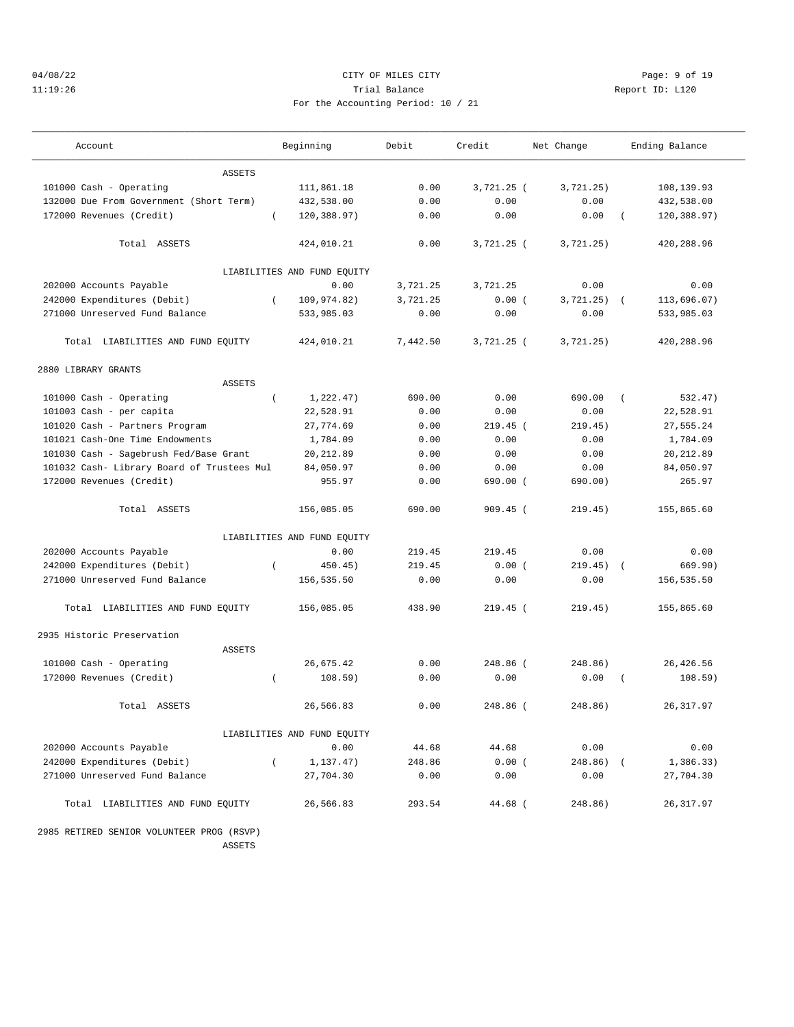## 04/08/22 CITY OF MILES CITY Page: 9 of 19 11:19:26 Trial Balance Report ID: L120 For the Accounting Period: 10 / 21

| Account                                    |          | Beginning                   | Debit    | Credit       | Net Change   |                | Ending Balance |
|--------------------------------------------|----------|-----------------------------|----------|--------------|--------------|----------------|----------------|
| <b>ASSETS</b>                              |          |                             |          |              |              |                |                |
| 101000 Cash - Operating                    |          | 111,861.18                  | 0.00     | $3,721.25$ ( | 3,721.25)    |                | 108,139.93     |
| 132000 Due From Government (Short Term)    |          | 432,538.00                  | 0.00     | 0.00         | 0.00         |                | 432,538.00     |
| 172000 Revenues (Credit)                   | $\left($ | 120,388.97)                 | 0.00     | 0.00         | 0.00         | $\left($       | 120,388.97)    |
| Total ASSETS                               |          | 424,010.21                  | 0.00     | $3,721.25$ ( | 3,721.25)    |                | 420,288.96     |
|                                            |          | LIABILITIES AND FUND EQUITY |          |              |              |                |                |
| 202000 Accounts Payable                    |          | 0.00                        | 3,721.25 | 3,721.25     | 0.00         |                | 0.00           |
| 242000 Expenditures (Debit)                | $\left($ | 109,974.82)                 | 3,721.25 | 0.00(        | 3,721.25)    | $\left($       | 113,696.07)    |
| 271000 Unreserved Fund Balance             |          | 533,985.03                  | 0.00     | 0.00         | 0.00         |                | 533,985.03     |
| Total LIABILITIES AND FUND EQUITY          |          | 424,010.21                  | 7,442.50 | $3,721.25$ ( | 3,721.25)    |                | 420,288.96     |
| 2880 LIBRARY GRANTS                        |          |                             |          |              |              |                |                |
| <b>ASSETS</b>                              |          |                             |          |              |              |                |                |
| 101000 Cash - Operating                    | $\left($ | 1,222.47)                   | 690.00   | 0.00         | 690.00       | $\left($       | 532.47)        |
| 101003 Cash - per capita                   |          | 22,528.91                   | 0.00     | 0.00         | 0.00         |                | 22,528.91      |
| 101020 Cash - Partners Program             |          | 27,774.69                   | 0.00     | $219.45$ (   | 219.45)      |                | 27,555.24      |
| 101021 Cash-One Time Endowments            |          | 1,784.09                    | 0.00     | 0.00         | 0.00         |                | 1,784.09       |
| 101030 Cash - Sagebrush Fed/Base Grant     |          | 20, 212.89                  | 0.00     | 0.00         | 0.00         |                | 20, 212.89     |
| 101032 Cash- Library Board of Trustees Mul |          | 84,050.97                   | 0.00     | 0.00         | 0.00         |                | 84,050.97      |
| 172000 Revenues (Credit)                   |          | 955.97                      | 0.00     | $690.00$ (   | 690.00)      |                | 265.97         |
| Total ASSETS                               |          | 156,085.05                  | 690.00   | $909.45$ (   | 219.45)      |                | 155,865.60     |
|                                            |          | LIABILITIES AND FUND EQUITY |          |              |              |                |                |
| 202000 Accounts Payable                    |          | 0.00                        | 219.45   | 219.45       | 0.00         |                | 0.00           |
| 242000 Expenditures (Debit)                | $\left($ | 450.45)                     | 219.45   | 0.00(        | 219.45)      | $\sqrt{2}$     | 669.90)        |
| 271000 Unreserved Fund Balance             |          | 156,535.50                  | 0.00     | 0.00         | 0.00         |                | 156,535.50     |
| Total LIABILITIES AND FUND EQUITY          |          | 156,085.05                  | 438.90   | $219.45$ (   | 219.45)      |                | 155,865.60     |
| 2935 Historic Preservation                 |          |                             |          |              |              |                |                |
| <b>ASSETS</b>                              |          |                             |          |              |              |                |                |
| 101000 Cash - Operating                    |          | 26,675.42                   | 0.00     | 248.86 (     | 248.86)      |                | 26,426.56      |
| 172000 Revenues (Credit)                   | $\left($ | 108.59)                     | 0.00     | 0.00         | 0.00         | $\overline{ }$ | 108.59)        |
| Total ASSETS                               |          | 26,566.83                   | 0.00     | 248.86 (     | 248.86)      |                | 26, 317.97     |
|                                            |          | LIABILITIES AND FUND EOUITY |          |              |              |                |                |
| 202000 Accounts Payable                    |          | 0.00                        | 44.68    | 44.68        | 0.00         |                | 0.00           |
| 242000 Expenditures (Debit)                | $\left($ | 1,137.47)                   | 248.86   | 0.00(        | $248.86$ ) ( |                | 1,386.33)      |
| 271000 Unreserved Fund Balance             |          | 27,704.30                   | 0.00     | 0.00         | 0.00         |                | 27,704.30      |
| Total LIABILITIES AND FUND EQUITY          |          | 26,566.83                   | 293.54   | 44.68 (      | 248.86)      |                | 26, 317.97     |
| 2985 RETIRED SENIOR VOLUNTEER PROG (RSVP)  |          |                             |          |              |              |                |                |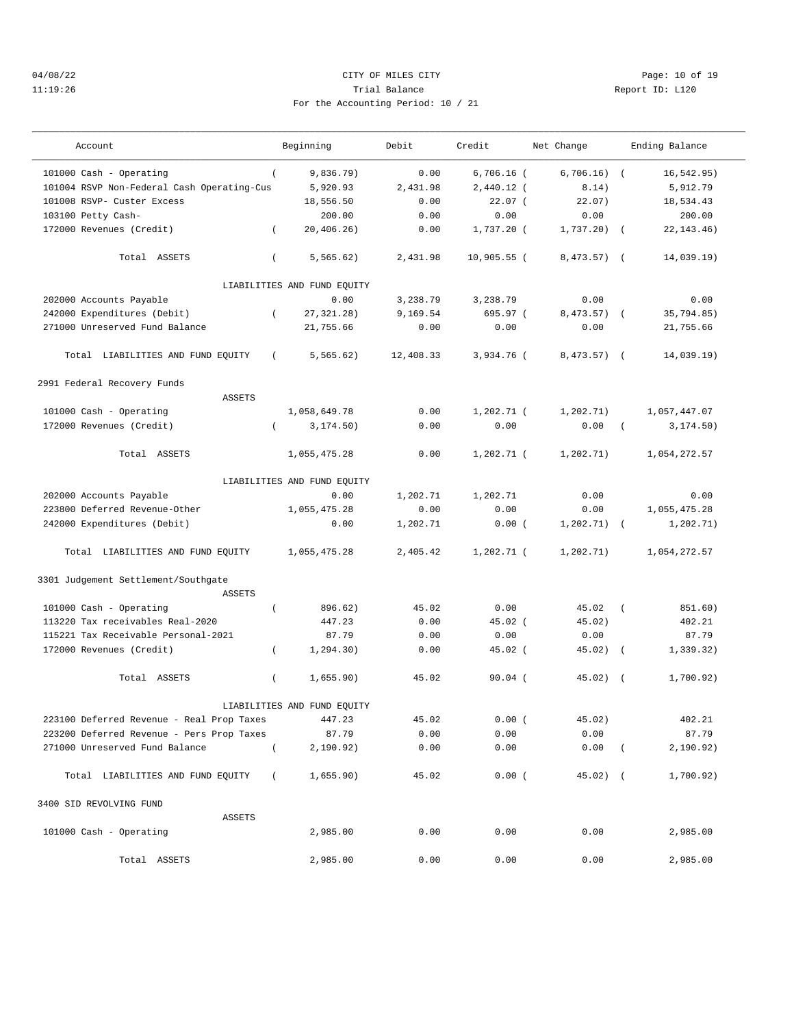### 04/08/22 Page: 10 of 19 11:19:26 Trial Balance Report ID: L120 For the Accounting Period: 10 / 21

——————————————————————————————————————————————————————————————————————————————————————————————————————————————————————————————————— Account and Beginning Debit Credit Net Change Ending Balance

——————————————————————————————————————————————————————————————————————————————————————————————————————————————————————————————————— 101000 Cash - Operating ( 9,836.79) 0.00 6,706.16 ( 6,706.16) ( 16,542.95) 101004 RSVP Non-Federal Cash Operating-Cus 5,920.93 2,431.98 2,440.12 ( 8.14) 5,912.79 101008 RSVP- Custer Excess 18,556.50 0.00 22.07 ( 22.07) 18,534.43 103100 Petty Cash-<br>172000 Revenues (Credit) (20,406.26) 0.00 0.00 0.00 0.00 0.00 22,143.46 172000 Revenues (Credit) ( 20,406.26) 0.00 1,737.20 ( 1,737.20) ( 22,143.46) Total ASSETS ( 5,565.62) 2,431.98 10,905.55 ( 8,473.57) ( 14,039.19) LIABILITIES AND FUND EQUITY 202000 Accounts Payable 242000 Expenditures (Debit)<br>202000 Expenditures (Debit) (27,321.28) 3,169.54 695.97 (3,473.57) (35,794.85)<br>201000 Unreserved Fund Balance 21,755.66 0.00 0.00 0.00 21,755.66 242000 Expenditures (Debit) ( 27,321.28) 9,169.54 695.97 ( 8,473.57) ( 35,794.85) 271000 Unreserved Fund Balance 21,755.66 0.00 0.00 0.00 21,755.66 Total LIABILITIES AND FUND EQUITY ( 5,565.62) 12,408.33 3,934.76 ( 8,473.57) ( 14,039.19) 2991 Federal Recovery Funds ASSETS 101000 Cash - Operating 1,058,649.78 0.00 1,202.71 ( 1,202.71) 1,057,447.07 172000 Revenues (Credit) ( 3,174.50) 0.00 0.00 0.00 ( 3,174.50) Total ASSETS 1,055,475.28 0.00 1,202.71 ( 1,202.71) 1,054,272.57 LIABILITIES AND FUND EQUITY 202000 Accounts Payable 0.00 1,202.71 1,202.71 0.00 0.00 223800 Deferred Revenue-Other 1,055,475.28 0.00 0.00 0.00 1,055,475.28 242000 Expenditures (Debit) 0.00 1,202.71 0.00 ( 1,202.71) ( 1,202.71) Total LIABILITIES AND FUND EQUITY 1,055,475.28 2,405.42 1,202.71 ( 1,202.71) 1,054,272.57 3301 Judgement Settlement/Southgate ASSETS 101000 Cash - Operating ( 896.62) 45.02 0.00 45.02 ( 851.60) 113220 Tax receivables Real-2020 447.23 0.00 45.02 ( 45.02) 402.21 115221 Tax Receivable Personal-2021 87.79 0.00 0.00 0.00 87.79 172000 Revenues (Credit) ( 1,294.30) 0.00 45.02 ( 45.02) ( 1,339.32) Total ASSETS ( 1,655.90) 45.02 90.04 ( 45.02) ( 1,700.92) LIABILITIES AND FUND EQUITY 223100 Deferred Revenue - Real Prop Taxes 447.23 45.02 0.00 ( 45.02) 402.21 223200 Deferred Revenue - Pers Prop Taxes 87.79 0.00 0.00 0.00 87.79 271000 Unreserved Fund Balance ( 2,190.92) 0.00 0.00 0.00 ( 2,190.92) Total LIABILITIES AND FUND EQUITY ( 1,655.90) 45.02 0.00 ( 45.02) ( 1,700.92) 3400 SID REVOLVING FUND ASSETS 101000 Cash - Operating 2,985.00 0.00 0.00 0.00 2,985.00 Total ASSETS 2,985.00 0.00 0.00 0.00 2,985.00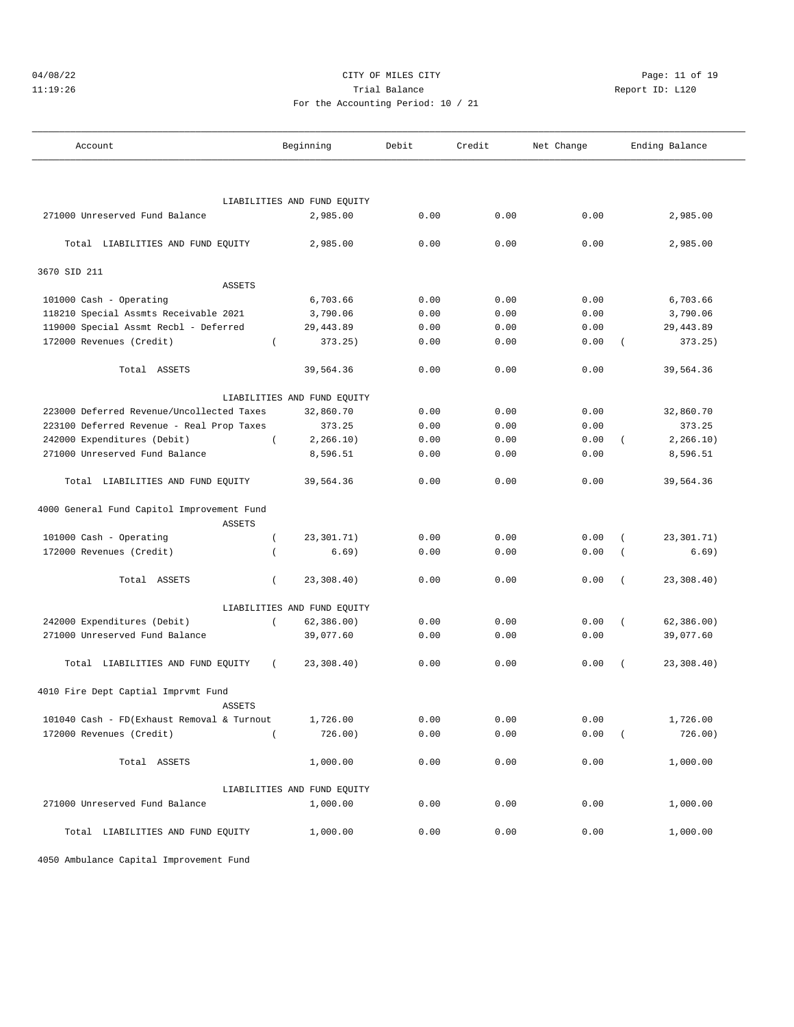# 04/08/22 Page: 11 of 19 11:19:26 Trial Balance Report ID: L120

|  | For the Accounting Period: 10 / 21 |  |  |
|--|------------------------------------|--|--|
|  |                                    |  |  |

———————————————————————————————————————————————————————————————————————————————————————————————————————————————————————————————————

——————————————————————————————————————————————————————————————————————————————————————————————————————————————————————————————————— Account and Beginning Debit Credit Net Change Ending Balance

|                                            |                  | LIABILITIES AND FUND EQUITY |      |      |                    |            |
|--------------------------------------------|------------------|-----------------------------|------|------|--------------------|------------|
| 271000 Unreserved Fund Balance             |                  | 2,985.00                    | 0.00 | 0.00 | 0.00               | 2,985.00   |
| Total LIABILITIES AND FUND EQUITY          |                  | 2,985.00                    | 0.00 | 0.00 | 0.00               | 2,985.00   |
| 3670 SID 211                               |                  |                             |      |      |                    |            |
| <b>ASSETS</b>                              |                  |                             |      |      |                    |            |
| 101000 Cash - Operating                    |                  | 6,703.66                    | 0.00 | 0.00 | 0.00               | 6,703.66   |
| 118210 Special Assmts Receivable 2021      |                  | 3,790.06                    | 0.00 | 0.00 | 0.00               | 3,790.06   |
| 119000 Special Assmt Recbl - Deferred      |                  | 29, 443.89                  | 0.00 | 0.00 | 0.00               | 29, 443.89 |
| 172000 Revenues (Credit)                   | $\overline{ }$   | 373.25)                     | 0.00 | 0.00 | 0.00<br>$\left($   | 373.25)    |
| Total ASSETS                               |                  | 39,564.36                   | 0.00 | 0.00 | 0.00               | 39,564.36  |
|                                            |                  | LIABILITIES AND FUND EQUITY |      |      |                    |            |
| 223000 Deferred Revenue/Uncollected Taxes  |                  | 32,860.70                   | 0.00 | 0.00 | 0.00               | 32,860.70  |
| 223100 Deferred Revenue - Real Prop Taxes  |                  | 373.25                      | 0.00 | 0.00 | 0.00               | 373.25     |
| 242000 Expenditures (Debit)                | $\left($         | 2, 266.10)                  | 0.00 | 0.00 | 0.00<br>$\epsilon$ | 2, 266.10) |
| 271000 Unreserved Fund Balance             |                  | 8,596.51                    | 0.00 | 0.00 | 0.00               | 8,596.51   |
| Total LIABILITIES AND FUND EQUITY          |                  | 39,564.36                   | 0.00 | 0.00 | 0.00               | 39,564.36  |
| 4000 General Fund Capitol Improvement Fund |                  |                             |      |      |                    |            |
| <b>ASSETS</b>                              |                  |                             |      |      |                    |            |
| 101000 Cash - Operating                    | $\left($         | 23,301.71)                  | 0.00 | 0.00 | 0.00<br>$\left($   | 23,301.71) |
| 172000 Revenues (Credit)                   | $\overline{(\ }$ | 6.69)                       | 0.00 | 0.00 | 0.00<br>$\left($   | 6.69)      |
| Total ASSETS                               | $\left($         | 23,308.40)                  | 0.00 | 0.00 | 0.00<br>$\sqrt{ }$ | 23,308.40) |
|                                            |                  | LIABILITIES AND FUND EQUITY |      |      |                    |            |
| 242000 Expenditures (Debit)                | $\left($         | 62, 386.00)                 | 0.00 | 0.00 | 0.00<br>$\left($   | 62,386.00) |
| 271000 Unreserved Fund Balance             |                  | 39,077.60                   | 0.00 | 0.00 | 0.00               | 39,077.60  |
| Total LIABILITIES AND FUND EQUITY          | $\left($         | 23,308.40)                  | 0.00 | 0.00 | 0.00<br>$\sqrt{ }$ | 23,308.40) |
| 4010 Fire Dept Captial Imprvmt Fund        |                  |                             |      |      |                    |            |
| <b>ASSETS</b>                              |                  |                             |      |      |                    |            |
| 101040 Cash - FD(Exhaust Removal & Turnout |                  | 1,726.00                    | 0.00 | 0.00 | 0.00               | 1,726.00   |
| 172000 Revenues (Credit)                   | $\left($         | 726.00)                     | 0.00 | 0.00 | 0.00<br>$\left($   | 726.00)    |
| Total ASSETS                               |                  | 1,000.00                    | 0.00 | 0.00 | 0.00               | 1,000.00   |
|                                            |                  | LIABILITIES AND FUND EQUITY |      |      |                    |            |
| 271000 Unreserved Fund Balance             |                  | 1,000.00                    | 0.00 | 0.00 | 0.00               | 1,000.00   |
| Total LIABILITIES AND FUND EQUITY          |                  | 1,000.00                    | 0.00 | 0.00 | 0.00               | 1,000.00   |

4050 Ambulance Capital Improvement Fund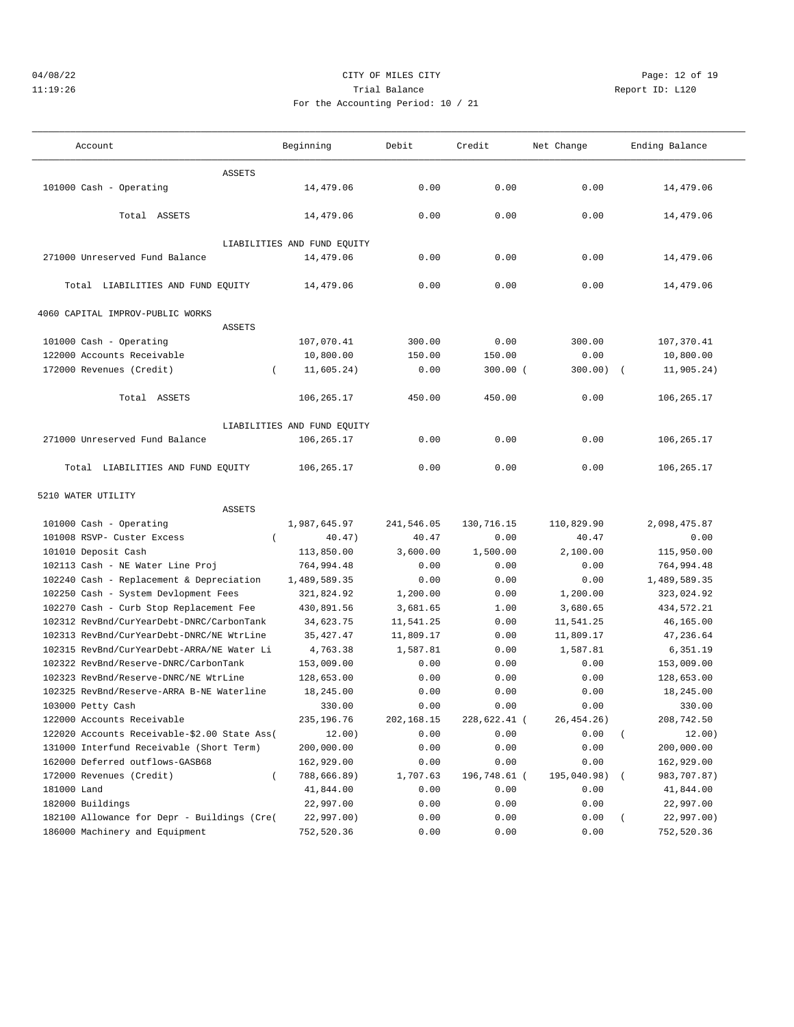## $04/08/22$ <br>  $04/08/22$ <br>  $04/08/22$ <br>  $04/08/22$ <br>  $04/08/22$ <br>  $04/08/22$ <br>  $04/08/22$ <br>  $04/08/22$ <br>  $04/08/22$ <br>  $04/08/22$ 11:19:26 **Trial Balance Trial Balance Report ID:** L120 For the Accounting Period: 10 / 21

| Account | Beginning | Debit | Credit | Change:<br>7.T n<br>17 C C | 2nna<br>Ending<br>parance - |  |
|---------|-----------|-------|--------|----------------------------|-----------------------------|--|

| Account                                      | Beginning                   | Debit      | Credit       | Net Change  | Ending Balance          |
|----------------------------------------------|-----------------------------|------------|--------------|-------------|-------------------------|
| ASSETS                                       |                             |            |              |             |                         |
| 101000 Cash - Operating                      | 14,479.06                   | 0.00       | 0.00         | 0.00        | 14,479.06               |
|                                              |                             |            |              |             |                         |
| Total ASSETS                                 | 14,479.06                   | 0.00       | 0.00         | 0.00        | 14,479.06               |
|                                              |                             |            |              |             |                         |
|                                              | LIABILITIES AND FUND EQUITY |            |              |             |                         |
| 271000 Unreserved Fund Balance               | 14,479.06                   | 0.00       | 0.00         | 0.00        | 14,479.06               |
| Total LIABILITIES AND FUND EQUITY            | 14,479.06                   | 0.00       | 0.00         | 0.00        | 14,479.06               |
|                                              |                             |            |              |             |                         |
| 4060 CAPITAL IMPROV-PUBLIC WORKS             |                             |            |              |             |                         |
| ASSETS                                       |                             |            |              |             |                         |
| 101000 Cash - Operating                      | 107,070.41                  | 300.00     | 0.00         | 300.00      | 107,370.41              |
| 122000 Accounts Receivable                   | 10,800.00                   | 150.00     | 150.00       | 0.00        | 10,800.00               |
| 172000 Revenues (Credit)                     | 11,605.24)                  | 0.00       | $300.00$ (   | $300.00)$ ( | 11,905.24)              |
|                                              |                             |            |              |             |                         |
| Total ASSETS                                 | 106,265.17                  | 450.00     | 450.00       | 0.00        | 106,265.17              |
|                                              | LIABILITIES AND FUND EQUITY |            |              |             |                         |
| 271000 Unreserved Fund Balance               | 106,265.17                  | 0.00       | 0.00         | 0.00        | 106,265.17              |
|                                              |                             |            |              |             |                         |
| Total LIABILITIES AND FUND EQUITY            | 106,265.17                  | 0.00       | 0.00         | 0.00        | 106,265.17              |
|                                              |                             |            |              |             |                         |
| 5210 WATER UTILITY                           |                             |            |              |             |                         |
| ASSETS                                       |                             |            |              |             |                         |
| 101000 Cash - Operating                      | 1,987,645.97                | 241,546.05 | 130,716.15   | 110,829.90  | 2,098,475.87            |
| 101008 RSVP- Custer Excess<br>$\left($       | 40.47)                      | 40.47      | 0.00         | 40.47       | 0.00                    |
| 101010 Deposit Cash                          | 113,850.00                  | 3,600.00   | 1,500.00     | 2,100.00    | 115,950.00              |
| 102113 Cash - NE Water Line Proj             | 764,994.48                  | 0.00       | 0.00         | 0.00        | 764,994.48              |
| 102240 Cash - Replacement & Depreciation     | 1,489,589.35                | 0.00       | 0.00         | 0.00        | 1,489,589.35            |
| 102250 Cash - System Devlopment Fees         | 321,824.92                  | 1,200.00   | 0.00         | 1,200.00    | 323,024.92              |
| 102270 Cash - Curb Stop Replacement Fee      | 430,891.56                  | 3,681.65   | 1.00         | 3,680.65    | 434,572.21              |
| 102312 RevBnd/CurYearDebt-DNRC/CarbonTank    | 34,623.75                   | 11,541.25  | 0.00         | 11,541.25   | 46,165.00               |
| 102313 RevBnd/CurYearDebt-DNRC/NE WtrLine    | 35, 427. 47                 | 11,809.17  | 0.00         | 11,809.17   | 47,236.64               |
| 102315 RevBnd/CurYearDebt-ARRA/NE Water Li   | 4,763.38                    | 1,587.81   | 0.00         | 1,587.81    | 6,351.19                |
| 102322 RevBnd/Reserve-DNRC/CarbonTank        | 153,009.00                  | 0.00       | 0.00         | 0.00        | 153,009.00              |
| 102323 RevBnd/Reserve-DNRC/NE WtrLine        | 128,653.00                  | 0.00       | 0.00         | 0.00        | 128,653.00              |
| 102325 RevBnd/Reserve-ARRA B-NE Waterline    | 18,245.00                   | 0.00       | 0.00         | 0.00        | 18,245.00               |
| 103000 Petty Cash                            | 330.00                      | 0.00       | 0.00         | 0.00        | 330.00                  |
| 122000 Accounts Receivable                   | 235, 196. 76                | 202,168.15 | 228,622.41 ( | 26, 454.26) | 208,742.50              |
| 122020 Accounts Receivable-\$2.00 State Ass( | 12.00)                      | 0.00       | 0.00         | 0.00        | 12.00)<br>$\left($      |
| 131000 Interfund Receivable (Short Term)     | 200,000.00                  | 0.00       | 0.00         | 0.00        | 200,000.00              |
| 162000 Deferred outflows-GASB68              | 162,929.00                  | 0.00       | 0.00         | 0.00        | 162,929.00              |
| 172000 Revenues (Credit)<br>$\overline{(\ }$ | 788,666.89)                 | 1,707.63   | 196,748.61 ( | 195,040.98) | 983,707.87)<br>$\left($ |
| 181000 Land                                  | 41,844.00                   | 0.00       | 0.00         | 0.00        | 41,844.00               |
| 182000 Buildings                             | 22,997.00                   | 0.00       | 0.00         | 0.00        | 22,997.00               |
| 182100 Allowance for Depr - Buildings (Cre(  | 22,997.00)                  | 0.00       | 0.00         | 0.00        | 22,997.00)<br>$\left($  |
| 186000 Machinery and Equipment               | 752,520.36                  | 0.00       | 0.00         | 0.00        | 752,520.36              |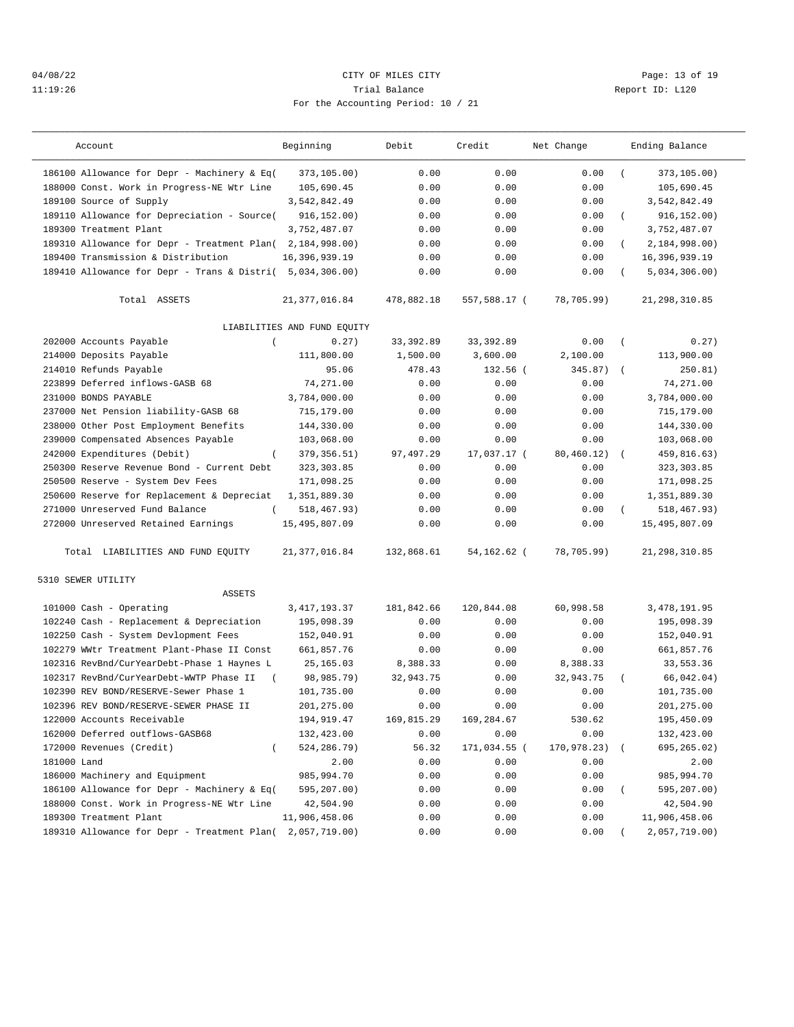## 04/08/22 Page: 13 of 19 11:19:26 Trial Balance Report ID: L120 For the Accounting Period: 10 / 21

| Account                                             | Beginning                   | Debit      | Credit       | Net Change  |          | Ending Balance  |
|-----------------------------------------------------|-----------------------------|------------|--------------|-------------|----------|-----------------|
| 186100 Allowance for Depr - Machinery & Eq(         | 373,105.00)                 | 0.00       | 0.00         | 0.00        | $\left($ | 373,105.00)     |
| 188000 Const. Work in Progress-NE Wtr Line          | 105,690.45                  | 0.00       | 0.00         | 0.00        |          | 105,690.45      |
| 189100 Source of Supply                             | 3,542,842.49                | 0.00       | 0.00         | 0.00        |          | 3,542,842.49    |
| 189110 Allowance for Depreciation - Source(         | 916, 152, 00)               | 0.00       | 0.00         | 0.00        | $\left($ | 916, 152.00)    |
| 189300 Treatment Plant                              | 3,752,487.07                | 0.00       | 0.00         | 0.00        |          | 3,752,487.07    |
| 189310 Allowance for Depr - Treatment Plan(         | 2,184,998.00)               | 0.00       | 0.00         | 0.00        | $\left($ | 2,184,998.00    |
| 189400 Transmission & Distribution                  | 16,396,939.19               | 0.00       | 0.00         | 0.00        |          | 16,396,939.19   |
| 189410 Allowance for Depr - Trans & Distri(         | 5,034,306.00)               | 0.00       | 0.00         | 0.00        | $\left($ | 5,034,306.00)   |
| Total ASSETS                                        | 21, 377, 016.84             | 478,882.18 | 557,588.17 ( | 78,705.99)  |          | 21, 298, 310.85 |
|                                                     | LIABILITIES AND FUND EQUITY |            |              |             |          |                 |
| 202000 Accounts Payable<br>$\left($                 | 0.27)                       | 33, 392.89 | 33, 392.89   | 0.00        | $\left($ | 0.27)           |
| 214000 Deposits Payable                             | 111,800.00                  | 1,500.00   | 3,600.00     | 2,100.00    |          | 113,900.00      |
| 214010 Refunds Payable                              | 95.06                       | 478.43     | 132.56 (     | 345.87)     | $\left($ | 250.81)         |
| 223899 Deferred inflows-GASB 68                     | 74,271.00                   | 0.00       | 0.00         | 0.00        |          | 74,271.00       |
| 231000 BONDS PAYABLE                                | 3,784,000.00                | 0.00       | 0.00         | 0.00        |          | 3,784,000.00    |
| 237000 Net Pension liability-GASB 68                | 715,179.00                  | 0.00       | 0.00         | 0.00        |          | 715,179.00      |
| 238000 Other Post Employment Benefits               | 144,330.00                  | 0.00       | 0.00         | 0.00        |          | 144,330.00      |
| 239000 Compensated Absences Payable                 | 103,068.00                  | 0.00       | 0.00         | 0.00        |          | 103,068.00      |
| 242000 Expenditures (Debit)<br>$\left($             | 379, 356.51)                | 97,497.29  | 17,037.17 (  | 80,460.12)  |          | 459,816.63)     |
| 250300 Reserve Revenue Bond - Current Debt          | 323, 303.85                 | 0.00       | 0.00         | 0.00        |          | 323, 303.85     |
| 250500 Reserve - System Dev Fees                    | 171,098.25                  | 0.00       | 0.00         | 0.00        |          | 171,098.25      |
| 250600 Reserve for Replacement & Depreciat          | 1,351,889.30                | 0.00       | 0.00         | 0.00        |          | 1,351,889.30    |
| 271000 Unreserved Fund Balance                      | 518, 467.93)                | 0.00       | 0.00         | 0.00        |          | 518,467.93)     |
| 272000 Unreserved Retained Earnings                 | 15,495,807.09               | 0.00       | 0.00         | 0.00        |          | 15, 495, 807.09 |
| Total LIABILITIES AND FUND EQUITY                   | 21, 377, 016.84             | 132,868.61 | 54,162.62 (  | 78,705.99)  |          | 21,298,310.85   |
| 5310 SEWER UTILITY                                  |                             |            |              |             |          |                 |
| ASSETS                                              |                             |            |              |             |          |                 |
| 101000 Cash - Operating                             | 3, 417, 193.37              | 181,842.66 | 120,844.08   | 60,998.58   |          | 3, 478, 191.95  |
| 102240 Cash - Replacement & Depreciation            | 195,098.39                  | 0.00       | 0.00         | 0.00        |          | 195,098.39      |
| 102250 Cash - System Devlopment Fees                | 152,040.91                  | 0.00       | 0.00         | 0.00        |          | 152,040.91      |
| 102279 WWtr Treatment Plant-Phase II Const          | 661,857.76                  | 0.00       | 0.00         | 0.00        |          | 661,857.76      |
| 102316 RevBnd/CurYearDebt-Phase 1 Haynes L          | 25, 165.03                  | 8,388.33   | 0.00         | 8,388.33    |          | 33,553.36       |
| 102317 RevBnd/CurYearDebt-WWTP Phase II<br>$\left($ | 98,985.79)                  | 32,943.75  | 0.00         | 32,943.75   |          | 66,042.04)      |
| 102390 REV BOND/RESERVE-Sewer Phase 1               | 101,735.00                  | 0.00       | 0.00         | 0.00        |          | 101,735.00      |
| 102396 REV BOND/RESERVE-SEWER PHASE II              | 201, 275.00                 | 0.00       | 0.00         | 0.00        |          | 201,275.00      |
| 122000 Accounts Receivable                          | 194,919.47                  | 169,815.29 | 169,284.67   | 530.62      |          | 195,450.09      |
| 162000 Deferred outflows-GASB68                     | 132,423.00                  | 0.00       | 0.00         | 0.00        |          | 132,423.00      |
| 172000 Revenues (Credit)                            | 524,286.79)                 | 56.32      | 171,034.55 ( | 170,978.23) |          | 695,265.02)     |
| 181000 Land                                         | 2.00                        | 0.00       | 0.00         | 0.00        |          | 2.00            |
| 186000 Machinery and Equipment                      | 985,994.70                  | 0.00       | 0.00         | 0.00        |          | 985,994.70      |
| 186100 Allowance for Depr - Machinery & Eq(         | 595,207.00)                 | 0.00       | 0.00         | 0.00        | $\left($ | 595,207.00)     |
| 188000 Const. Work in Progress-NE Wtr Line          | 42,504.90                   | 0.00       | 0.00         | 0.00        |          | 42,504.90       |
| 189300 Treatment Plant                              | 11,906,458.06               | 0.00       | 0.00         | 0.00        |          | 11,906,458.06   |
| 189310 Allowance for Depr - Treatment Plan(         | 2,057,719.00)               | 0.00       | 0.00         | 0.00        |          | 2,057,719.00)   |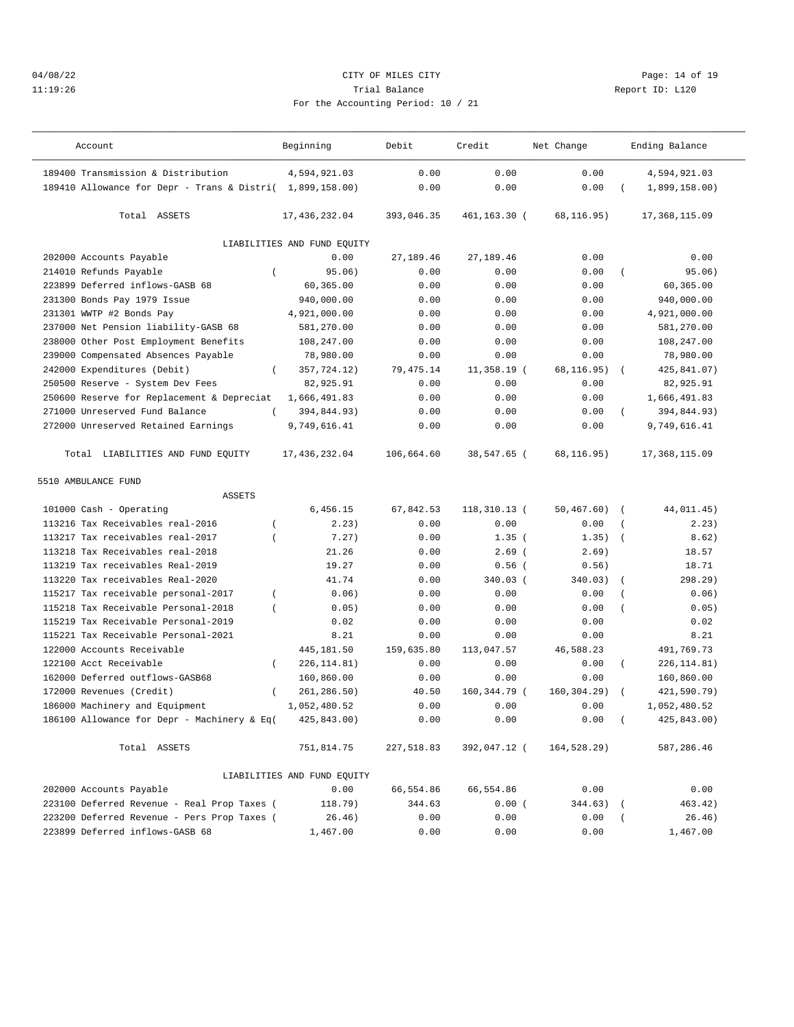## 04/08/22 Page: 14 of 19 11:19:26 Trial Balance Report ID: L120 For the Accounting Period: 10 / 21

| Account                                                   | Beginning                   | Debit      | Credit        | Net Change  |                  | Ending Balance |
|-----------------------------------------------------------|-----------------------------|------------|---------------|-------------|------------------|----------------|
| 189400 Transmission & Distribution                        | 4,594,921.03                | 0.00       | 0.00          | 0.00        |                  | 4,594,921.03   |
| 189410 Allowance for Depr - Trans & Distri( 1,899,158.00) |                             | 0.00       | 0.00          | 0.00        |                  | 1,899,158.00)  |
| Total ASSETS                                              | 17,436,232.04               | 393,046.35 | 461,163.30 (  | 68,116.95)  |                  | 17,368,115.09  |
|                                                           | LIABILITIES AND FUND EQUITY |            |               |             |                  |                |
| 202000 Accounts Payable                                   | 0.00                        | 27,189.46  | 27,189.46     | 0.00        |                  | 0.00           |
| 214010 Refunds Payable<br>$\overline{ }$                  | 95.06)                      | 0.00       | 0.00          | 0.00        |                  | 95.06)         |
| 223899 Deferred inflows-GASB 68                           | 60,365.00                   | 0.00       | 0.00          | 0.00        |                  | 60,365.00      |
| 231300 Bonds Pay 1979 Issue                               | 940,000.00                  | 0.00       | 0.00          | 0.00        |                  | 940,000.00     |
| 231301 WWTP #2 Bonds Pay                                  | 4,921,000.00                | 0.00       | 0.00          | 0.00        |                  | 4,921,000.00   |
| 237000 Net Pension liability-GASB 68                      | 581,270.00                  | 0.00       | 0.00          | 0.00        |                  | 581,270.00     |
| 238000 Other Post Employment Benefits                     | 108,247.00                  | 0.00       | 0.00          | 0.00        |                  | 108,247.00     |
| 239000 Compensated Absences Payable                       | 78,980.00                   | 0.00       | 0.00          | 0.00        |                  | 78,980.00      |
| 242000 Expenditures (Debit)<br>$\left($                   | 357,724.12)                 | 79,475.14  | $11,358.19$ ( | 68,116.95)  | $\left($         | 425,841.07)    |
| 250500 Reserve - System Dev Fees                          | 82,925.91                   | 0.00       | 0.00          | 0.00        |                  | 82,925.91      |
| 250600 Reserve for Replacement & Depreciat                | 1,666,491.83                | 0.00       | 0.00          | 0.00        |                  | 1,666,491.83   |
| 271000 Unreserved Fund Balance                            | 394,844.93)                 | 0.00       | 0.00          | 0.00        |                  | 394,844.93)    |
| 272000 Unreserved Retained Earnings                       | 9,749,616.41                | 0.00       | 0.00          | 0.00        |                  | 9,749,616.41   |
| Total LIABILITIES AND FUND EQUITY                         | 17,436,232.04               | 106,664.60 | 38,547.65 (   | 68,116.95)  |                  | 17,368,115.09  |
| 5510 AMBULANCE FUND                                       |                             |            |               |             |                  |                |
| <b>ASSETS</b>                                             |                             |            |               |             |                  |                |
| 101000 Cash - Operating                                   | 6,456.15                    | 67,842.53  | 118,310.13 (  | 50, 467.60) | $\sqrt{2}$       | 44,011.45)     |
| 113216 Tax Receivables real-2016                          | 2.23)                       | 0.00       | 0.00          | 0.00        | $\overline{(\ }$ | 2.23)          |
| 113217 Tax receivables real-2017<br>$\overline{ }$        | 7.27)                       | 0.00       | $1.35$ (      | 1.35)       | $\overline{ }$   | 8.62)          |
| 113218 Tax Receivables real-2018                          | 21.26                       | 0.00       | $2.69$ (      | 2.69)       |                  | 18.57          |
| 113219 Tax receivables Real-2019                          | 19.27                       | 0.00       | $0.56$ (      | 0.56)       |                  | 18.71          |
| 113220 Tax receivables Real-2020                          | 41.74                       | 0.00       | 340.03 (      | 340.03)     | $\left($         | 298.29)        |
| 115217 Tax receivable personal-2017<br>$\overline{(\ }$   | 0.06)                       | 0.00       | 0.00          | 0.00        |                  | 0.06)          |
| 115218 Tax Receivable Personal-2018<br>$\overline{(\ }$   | 0.05)                       | 0.00       | 0.00          | 0.00        | $\overline{ }$   | 0.05)          |
| 115219 Tax Receivable Personal-2019                       | 0.02                        | 0.00       | 0.00          | 0.00        |                  | 0.02           |
| 115221 Tax Receivable Personal-2021                       | 8.21                        | 0.00       | 0.00          | 0.00        |                  | 8.21           |
| 122000 Accounts Receivable                                | 445,181.50                  | 159,635.80 | 113,047.57    | 46,588.23   |                  | 491,769.73     |
| 122100 Acct Receivable<br>$\left($                        | 226, 114.81)                | 0.00       | 0.00          | 0.00        | $\overline{(\ }$ | 226, 114.81)   |
| 162000 Deferred outflows-GASB68                           | 160,860.00                  | 0.00       | 0.00          | 0.00        |                  | 160,860.00     |
| 172000 Revenues (Credit)                                  | 261,286.50)                 | 40.50      | 160,344.79 (  | 160.304.29  |                  | 421,590.79)    |
| 186000 Machinery and Equipment                            | 1,052,480.52                | 0.00       | 0.00          | 0.00        |                  | 1,052,480.52   |
| 186100 Allowance for Depr - Machinery & Eq(               | 425,843.00)                 | 0.00       | 0.00          | 0.00        | $\left($         | 425,843.00)    |
|                                                           |                             |            |               |             |                  |                |
| Total ASSETS                                              | 751,814.75                  | 227,518.83 | 392,047.12 (  | 164,528.29) |                  | 587,286.46     |
|                                                           | LIABILITIES AND FUND EQUITY |            |               |             |                  |                |
| 202000 Accounts Payable                                   | 0.00                        | 66,554.86  | 66,554.86     | 0.00        |                  | 0.00           |
| 223100 Deferred Revenue - Real Prop Taxes (               | 118.79)                     | 344.63     | 0.00(         | 344.63) (   |                  | 463.42)        |
| 223200 Deferred Revenue - Pers Prop Taxes (               | 26.46)                      | 0.00       | 0.00          | 0.00        |                  | 26.46)         |
| 223899 Deferred inflows-GASB 68                           | 1,467.00                    | 0.00       | 0.00          | 0.00        |                  | 1,467.00       |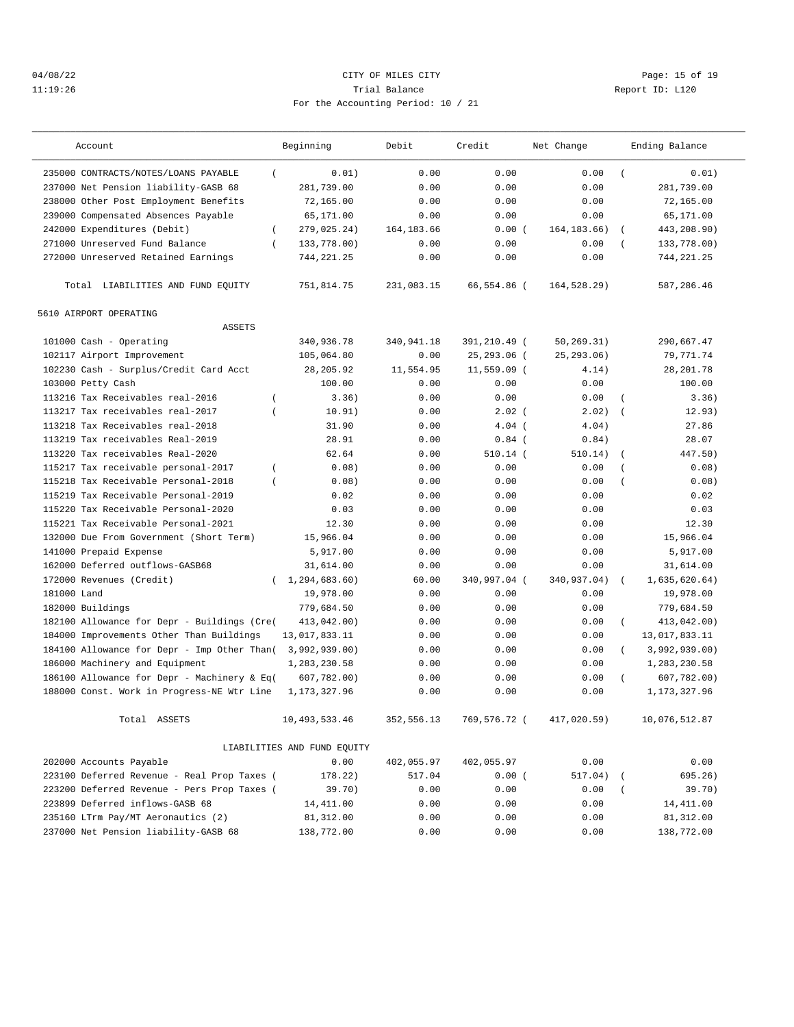## 04/08/22 CITY OF MILES CITY Page: 15 of 19 11:19:26 Trial Balance Report ID: L120 For the Accounting Period: 10 / 21

| Account                                            | Beginning                   | Debit       | Credit       | Net Change    |                | Ending Balance |
|----------------------------------------------------|-----------------------------|-------------|--------------|---------------|----------------|----------------|
| 235000 CONTRACTS/NOTES/LOANS PAYABLE<br>$\left($   | 0.01)                       | 0.00        | 0.00         | 0.00          | $\sqrt{ }$     | 0.01)          |
| 237000 Net Pension liability-GASB 68               | 281,739.00                  | 0.00        | 0.00         | 0.00          |                | 281,739.00     |
| 238000 Other Post Employment Benefits              | 72,165.00                   | 0.00        | 0.00         | 0.00          |                | 72,165.00      |
| 239000 Compensated Absences Payable                | 65,171.00                   | 0.00        | 0.00         | 0.00          |                | 65,171.00      |
| 242000 Expenditures (Debit)<br>$\left($            | 279,025.24)                 | 164, 183.66 | 0.00(        | 164, 183. 66) | $\left($       | 443,208.90)    |
| 271000 Unreserved Fund Balance<br>$\left($         | 133,778.00)                 | 0.00        | 0.00         | 0.00          | $\left($       | 133,778.00)    |
| 272000 Unreserved Retained Earnings                | 744, 221.25                 | 0.00        | 0.00         | 0.00          |                | 744, 221.25    |
| Total LIABILITIES AND FUND EQUITY                  | 751,814.75                  | 231,083.15  | 66,554.86 (  | 164,528.29)   |                | 587,286.46     |
| 5610 AIRPORT OPERATING                             |                             |             |              |               |                |                |
| <b>ASSETS</b>                                      |                             |             |              |               |                |                |
| 101000 Cash - Operating                            | 340,936.78                  | 340,941.18  | 391,210.49 ( | 50, 269.31)   |                | 290,667.47     |
| 102117 Airport Improvement                         | 105,064.80                  | 0.00        | 25,293.06 (  | 25, 293.06)   |                | 79, 771.74     |
| 102230 Cash - Surplus/Credit Card Acct             | 28, 205.92                  | 11,554.95   | 11,559.09 (  | 4.14)         |                | 28, 201.78     |
| 103000 Petty Cash                                  | 100.00                      | 0.00        | 0.00         | 0.00          |                | 100.00         |
| 113216 Tax Receivables real-2016<br>$\overline{ }$ | 3.36)                       | 0.00        | 0.00         | 0.00          |                | 3.36)          |
| 113217 Tax receivables real-2017                   | 10.91)                      | 0.00        | $2.02$ (     | 2.02)         | $\sqrt{ }$     | 12.93)         |
| 113218 Tax Receivables real-2018                   | 31.90                       | 0.00        | $4.04$ (     | 4.04)         |                | 27.86          |
| 113219 Tax receivables Real-2019                   | 28.91                       | 0.00        | $0.84$ $($   | 0.84)         |                | 28.07          |
| 113220 Tax receivables Real-2020                   | 62.64                       | 0.00        | $510.14$ (   | 510.14)       | $\left($       | 447.50)        |
| 115217 Tax receivable personal-2017<br>$\left($    | 0.08)                       | 0.00        | 0.00         | 0.00          |                | 0.08)          |
| 115218 Tax Receivable Personal-2018<br>$\left($    | 0.08)                       | 0.00        | 0.00         | 0.00          | $\overline{ }$ | 0.08)          |
| 115219 Tax Receivable Personal-2019                | 0.02                        | 0.00        | 0.00         | 0.00          |                | 0.02           |
| 115220 Tax Receivable Personal-2020                | 0.03                        | 0.00        | 0.00         | 0.00          |                | 0.03           |
| 115221 Tax Receivable Personal-2021                | 12.30                       | 0.00        | 0.00         | 0.00          |                | 12.30          |
| 132000 Due From Government (Short Term)            | 15,966.04                   | 0.00        | 0.00         | 0.00          |                | 15,966.04      |
| 141000 Prepaid Expense                             | 5,917.00                    | 0.00        | 0.00         | 0.00          |                | 5,917.00       |
| 162000 Deferred outflows-GASB68                    | 31,614.00                   | 0.00        | 0.00         | 0.00          |                | 31,614.00      |
| 172000 Revenues (Credit)<br>$\left($               | 1,294,683.60)               | 60.00       | 340,997.04 ( | 340,937.04)   | $\sqrt{2}$     | 1,635,620.64)  |
| 181000 Land                                        | 19,978.00                   | 0.00        | 0.00         | 0.00          |                | 19,978.00      |
| 182000 Buildings                                   | 779,684.50                  | 0.00        | 0.00         | 0.00          |                | 779,684.50     |
| 182100 Allowance for Depr - Buildings (Cre(        | 413,042.00)                 | 0.00        | 0.00         | 0.00          | $\left($       | 413,042.00)    |
| 184000 Improvements Other Than Buildings           | 13,017,833.11               | 0.00        | 0.00         | 0.00          |                | 13,017,833.11  |
| 184100 Allowance for Depr - Imp Other Than(        | 3,992,939.00)               | 0.00        | 0.00         | 0.00          |                | 3,992,939.00)  |
| 186000 Machinery and Equipment                     | 1,283,230.58                | 0.00        | 0.00         | 0.00          |                | 1,283,230.58   |
| 186100 Allowance for Depr - Machinery & Eq(        | 607,782.00)                 | 0.00        | 0.00         | 0.00          | $\left($       | 607,782.00     |
| 188000 Const. Work in Progress-NE Wtr Line         | 1, 173, 327.96              | 0.00        | 0.00         | 0.00          |                | 1,173,327.96   |
| Total ASSETS                                       | 10, 493, 533.46             | 352,556.13  | 769,576.72 ( | 417,020.59)   |                | 10,076,512.87  |
|                                                    | LIABILITIES AND FUND EQUITY |             |              |               |                |                |
| 202000 Accounts Payable                            | 0.00                        | 402,055.97  | 402,055.97   | 0.00          |                | 0.00           |
| 223100 Deferred Revenue - Real Prop Taxes (        | 178.22)                     | 517.04      | 0.00(        | 517.04)       |                | 695.26)        |
| 223200 Deferred Revenue - Pers Prop Taxes (        | 39.70)                      | 0.00        | 0.00         | 0.00          |                | 39.70)         |
| 223899 Deferred inflows-GASB 68                    | 14,411.00                   | 0.00        | 0.00         | 0.00          |                | 14,411.00      |
| 235160 LTrm Pay/MT Aeronautics (2)                 | 81,312.00                   | 0.00        | 0.00         | 0.00          |                | 81,312.00      |
| 237000 Net Pension liability-GASB 68               | 138,772.00                  | 0.00        | 0.00         | 0.00          |                | 138,772.00     |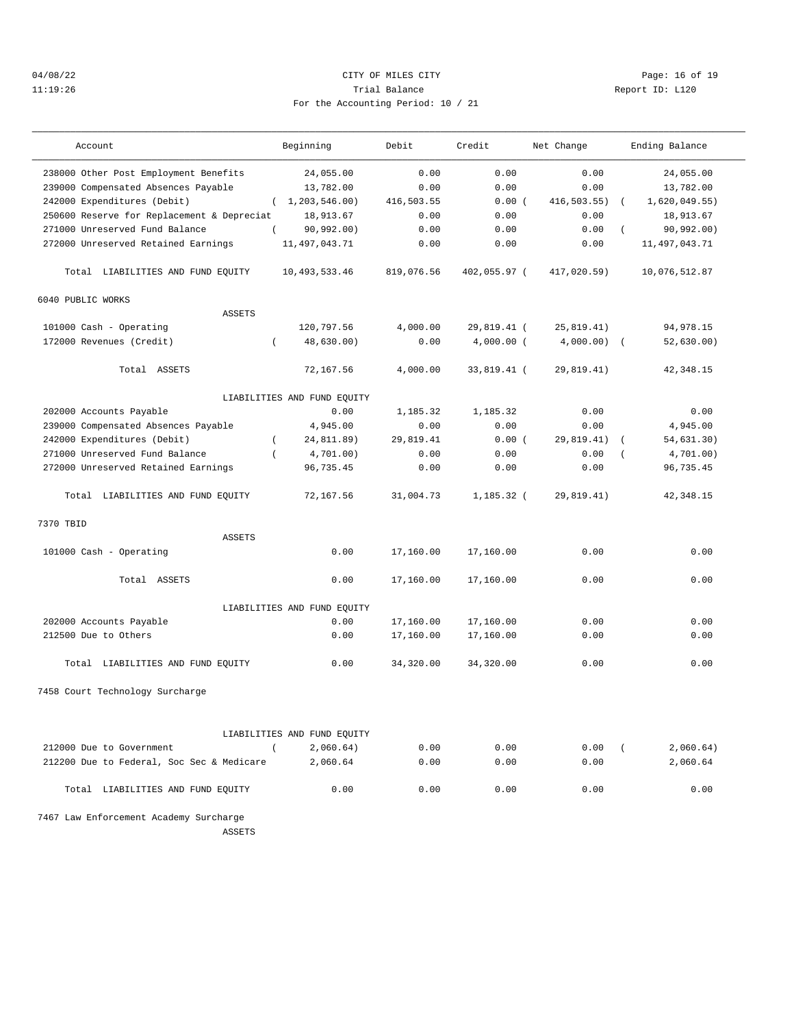## 04/08/22 CITY OF MILES CITY Page: 16 of 19 11:19:26 Report ID: L120 For the Accounting Period: 10 / 21

| Account                                    | Beginning                   | Debit      | Credit       | Net Change    | Ending Balance         |
|--------------------------------------------|-----------------------------|------------|--------------|---------------|------------------------|
| 238000 Other Post Employment Benefits      | 24,055.00                   | 0.00       | 0.00         | 0.00          | 24,055.00              |
| 239000 Compensated Absences Payable        | 13,782.00                   | 0.00       | 0.00         | 0.00          | 13,782.00              |
| 242000 Expenditures (Debit)                | (1, 203, 546.00)            | 416,503.55 | 0.00(        | 416,503.55)   | 1,620,049.55)          |
| 250600 Reserve for Replacement & Depreciat | 18,913.67                   | 0.00       | 0.00         | 0.00          | 18,913.67              |
| 271000 Unreserved Fund Balance             | 90, 992.00)                 | 0.00       | 0.00         | 0.00          | 90,992.00)             |
| 272000 Unreserved Retained Earnings        | 11, 497, 043.71             | 0.00       | 0.00         | 0.00          | 11, 497, 043.71        |
| Total LIABILITIES AND FUND EQUITY          | 10, 493, 533.46             | 819,076.56 | 402,055.97 ( | 417,020.59)   | 10,076,512.87          |
| 6040 PUBLIC WORKS                          |                             |            |              |               |                        |
| <b>ASSETS</b>                              |                             |            |              |               |                        |
| 101000 Cash - Operating                    | 120,797.56                  | 4,000.00   | 29,819.41 (  | 25, 819.41)   | 94, 978. 15            |
| 172000 Revenues (Credit)<br>$\left($       | 48,630.00)                  | 0.00       | $4,000.00$ ( | $4,000.00)$ ( | 52,630.00)             |
| Total ASSETS                               | 72,167.56                   | 4,000.00   | 33,819.41 (  | 29,819.41)    | 42,348.15              |
|                                            | LIABILITIES AND FUND EQUITY |            |              |               |                        |
| 202000 Accounts Payable                    | 0.00                        | 1,185.32   | 1,185.32     | 0.00          | 0.00                   |
| 239000 Compensated Absences Payable        | 4,945.00                    | 0.00       | 0.00         | 0.00          | 4,945.00               |
| 242000 Expenditures (Debit)<br>$\left($    | 24,811.89)                  | 29,819.41  | 0.00(        | 29,819.41)    | 54,631.30)<br>$\left($ |
| 271000 Unreserved Fund Balance<br>$\left($ | 4,701.00)                   | 0.00       | 0.00         | 0.00          | 4,701.00)              |
| 272000 Unreserved Retained Earnings        | 96,735.45                   | 0.00       | 0.00         | 0.00          | 96,735.45              |
| Total LIABILITIES AND FUND EQUITY          | 72,167.56                   | 31,004.73  | $1,185.32$ ( | 29,819.41)    | 42, 348.15             |
| 7370 TBID                                  |                             |            |              |               |                        |
| <b>ASSETS</b>                              |                             |            |              |               |                        |
| 101000 Cash - Operating                    | 0.00                        | 17,160.00  | 17,160.00    | 0.00          | 0.00                   |
| Total ASSETS                               | 0.00                        | 17,160.00  | 17,160.00    | 0.00          | 0.00                   |
|                                            | LIABILITIES AND FUND EQUITY |            |              |               |                        |
| 202000 Accounts Payable                    | 0.00                        | 17,160.00  | 17,160.00    | 0.00          | 0.00                   |
| 212500 Due to Others                       | 0.00                        | 17,160.00  | 17,160.00    | 0.00          | 0.00                   |
| Total LIABILITIES AND FUND EQUITY          | 0.00                        | 34,320.00  | 34,320.00    | 0.00          | 0.00                   |
| 7458 Court Technology Surcharge            |                             |            |              |               |                        |
|                                            |                             |            |              |               |                        |
|                                            | LIABILITIES AND FUND EQUITY |            |              |               |                        |
| 212000 Due to Government<br>$\sqrt{2}$     | 2,060.64)                   | 0.00       | 0.00         | 0.00          | 2,060.64)<br>$\left($  |
| 212200 Due to Federal, Soc Sec & Medicare  | 2,060.64                    | 0.00       | 0.00         | 0.00          | 2,060.64               |
| Total LIABILITIES AND FUND EQUITY          | 0.00                        | 0.00       | 0.00         | 0.00          | 0.00                   |
| 7467 Law Enforcement Academy Surcharge     |                             |            |              |               |                        |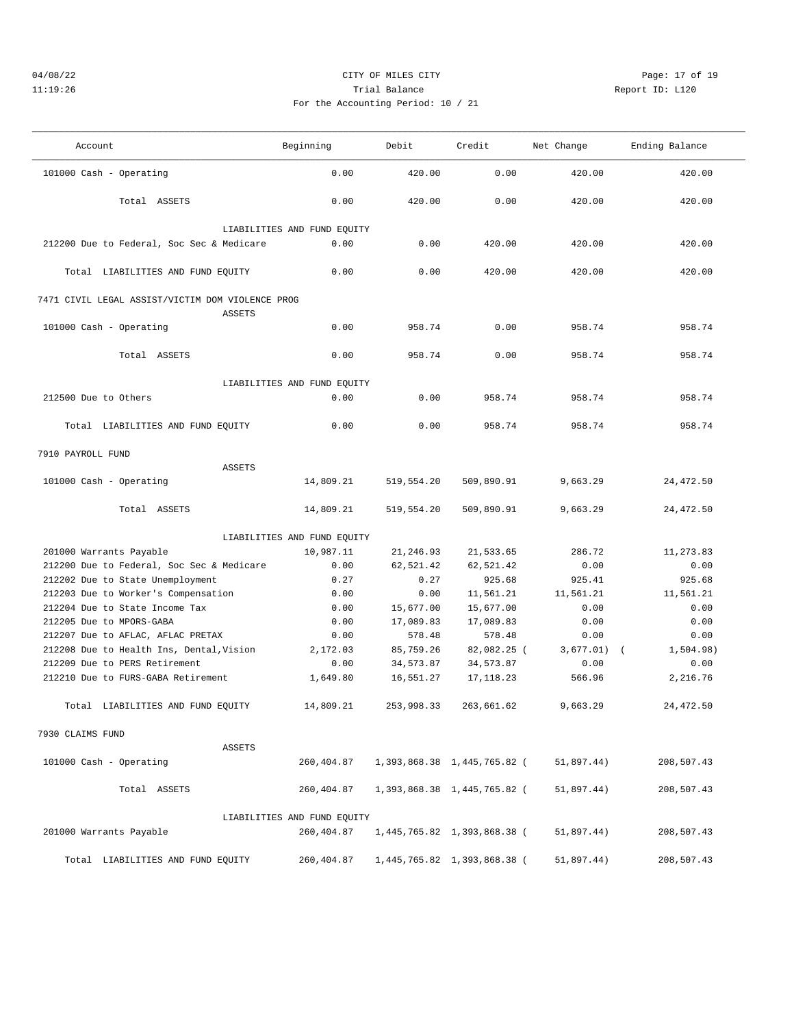## 04/08/22 Page: 17 of 19 11:19:26 Trial Balance Report ID: L120 For the Accounting Period: 10 / 21

———————————————————————————————————————————————————————————————————————————————————————————————————————————————————————————————————

| Account                                          | Beginning                   | Debit      | Credit                      | Net Change    | Ending Balance |
|--------------------------------------------------|-----------------------------|------------|-----------------------------|---------------|----------------|
| 101000 Cash - Operating                          | 0.00                        | 420.00     | 0.00                        | 420.00        | 420.00         |
| Total ASSETS                                     | 0.00                        | 420.00     | 0.00                        | 420.00        | 420.00         |
|                                                  | LIABILITIES AND FUND EQUITY |            |                             |               |                |
| 212200 Due to Federal, Soc Sec & Medicare        | 0.00                        | 0.00       | 420.00                      | 420.00        | 420.00         |
| Total LIABILITIES AND FUND EQUITY                | 0.00                        | 0.00       | 420.00                      | 420.00        | 420.00         |
| 7471 CIVIL LEGAL ASSIST/VICTIM DOM VIOLENCE PROG |                             |            |                             |               |                |
| <b>ASSETS</b><br>101000 Cash - Operating         | 0.00                        | 958.74     | 0.00                        | 958.74        | 958.74         |
| Total ASSETS                                     | 0.00                        | 958.74     | 0.00                        | 958.74        | 958.74         |
|                                                  | LIABILITIES AND FUND EQUITY |            |                             |               |                |
| 212500 Due to Others                             | 0.00                        | 0.00       | 958.74                      | 958.74        | 958.74         |
| Total LIABILITIES AND FUND EQUITY                | 0.00                        | 0.00       | 958.74                      | 958.74        | 958.74         |
| 7910 PAYROLL FUND                                |                             |            |                             |               |                |
| <b>ASSETS</b>                                    |                             |            |                             |               |                |
| 101000 Cash - Operating                          | 14,809.21                   | 519,554.20 | 509,890.91                  | 9,663.29      | 24, 472.50     |
| Total ASSETS                                     | 14,809.21                   | 519,554.20 | 509,890.91                  | 9,663.29      | 24, 472.50     |
|                                                  | LIABILITIES AND FUND EQUITY |            |                             |               |                |
| 201000 Warrants Payable                          | 10,987.11                   | 21,246.93  | 21,533.65                   | 286.72        | 11,273.83      |
| 212200 Due to Federal, Soc Sec & Medicare        | 0.00                        | 62,521.42  | 62,521.42                   | 0.00          | 0.00           |
| 212202 Due to State Unemployment                 | 0.27                        | 0.27       | 925.68                      | 925.41        | 925.68         |
| 212203 Due to Worker's Compensation              | 0.00                        | 0.00       | 11,561.21                   | 11,561.21     | 11,561.21      |
| 212204 Due to State Income Tax                   | 0.00                        | 15,677.00  | 15,677.00                   | 0.00          | 0.00           |
| 212205 Due to MPORS-GABA                         | 0.00                        | 17,089.83  | 17,089.83                   | 0.00          | 0.00           |
| 212207 Due to AFLAC, AFLAC PRETAX                | 0.00                        | 578.48     | 578.48                      | 0.00          | 0.00           |
| 212208 Due to Health Ins, Dental, Vision         | 2,172.03                    | 85,759.26  | 82,082.25 (                 | $3,677.01)$ ( | 1,504.98)      |
| 212209 Due to PERS Retirement                    | 0.00                        | 34,573.87  | 34,573.87                   | 0.00          | 0.00           |
| 212210 Due to FURS-GABA Retirement               | 1,649.80                    | 16,551.27  | 17, 118.23                  | 566.96        | 2,216.76       |
| Total LIABILITIES AND FUND EQUITY                | 14,809.21                   | 253,998.33 | 263,661.62                  | 9,663.29      | 24, 472.50     |
| 7930 CLAIMS FUND                                 |                             |            |                             |               |                |
| ASSETS                                           |                             |            |                             |               |                |
| 101000 Cash - Operating                          | 260,404.87                  |            | 1,393,868.38 1,445,765.82 ( | 51,897.44)    | 208,507.43     |
| Total ASSETS                                     | 260,404.87                  |            | 1,393,868.38 1,445,765.82 ( | 51,897.44)    | 208,507.43     |
|                                                  | LIABILITIES AND FUND EQUITY |            |                             |               |                |
| 201000 Warrants Payable                          | 260,404.87                  |            | 1,445,765.82 1,393,868.38 ( | 51,897.44)    | 208,507.43     |
| Total LIABILITIES AND FUND EQUITY                | 260,404.87                  |            | 1,445,765.82 1,393,868.38 ( | 51,897.44)    | 208,507.43     |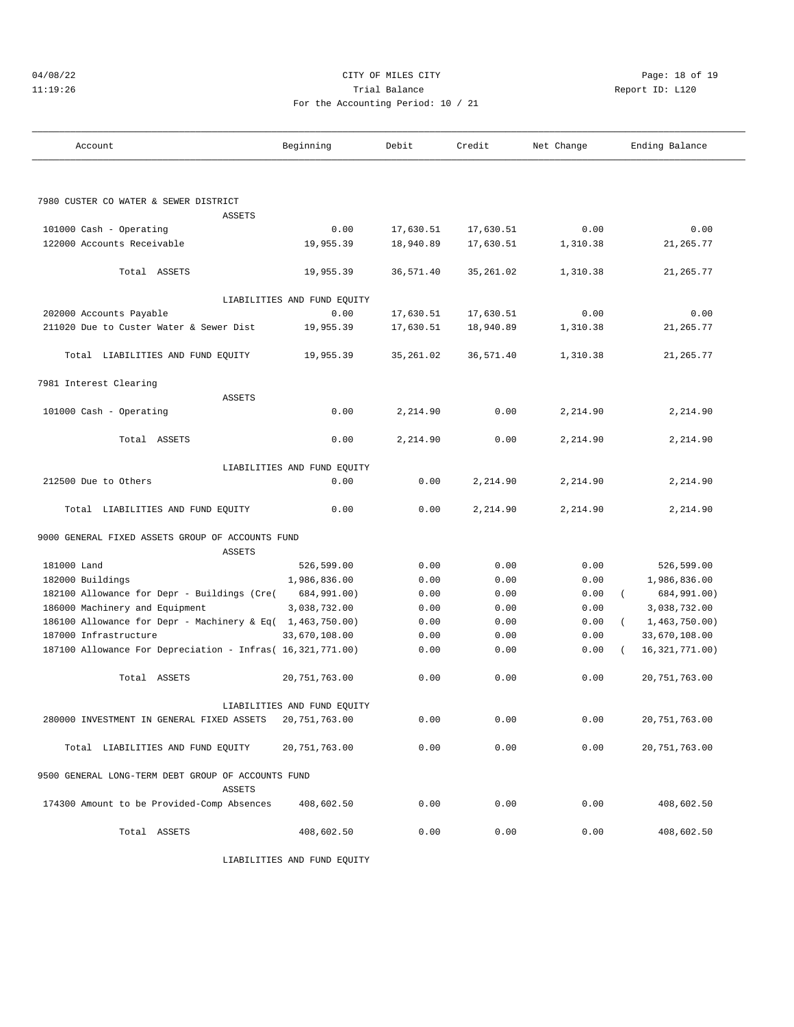## 04/08/22 Page: 18 of 19 11:19:26 Trial Balance Report ID: L120 For the Accounting Period: 10 / 21

| Account                                                      | Beginning                   | Debit     | Credit     | Net Change | Ending Balance   |
|--------------------------------------------------------------|-----------------------------|-----------|------------|------------|------------------|
|                                                              |                             |           |            |            |                  |
| 7980 CUSTER CO WATER & SEWER DISTRICT                        |                             |           |            |            |                  |
| <b>ASSETS</b>                                                |                             |           |            |            |                  |
| 101000 Cash - Operating                                      | 0.00                        | 17,630.51 | 17,630.51  | 0.00       | 0.00             |
| 122000 Accounts Receivable                                   | 19,955.39                   | 18,940.89 | 17,630.51  | 1,310.38   | 21,265.77        |
| Total ASSETS                                                 | 19,955.39                   | 36,571.40 | 35, 261.02 | 1,310.38   | 21,265.77        |
|                                                              | LIABILITIES AND FUND EQUITY |           |            |            |                  |
| 202000 Accounts Payable                                      | 0.00                        | 17,630.51 | 17,630.51  | 0.00       | 0.00             |
| 211020 Due to Custer Water & Sewer Dist                      | 19,955.39                   | 17,630.51 | 18,940.89  | 1,310.38   | 21, 265.77       |
| Total LIABILITIES AND FUND EQUITY                            | 19,955.39                   | 35,261.02 | 36,571.40  | 1,310.38   | 21,265.77        |
| 7981 Interest Clearing                                       |                             |           |            |            |                  |
| <b>ASSETS</b>                                                |                             |           |            |            |                  |
| 101000 Cash - Operating                                      | 0.00                        | 2,214.90  | 0.00       | 2,214.90   | 2,214.90         |
| Total ASSETS                                                 | 0.00                        | 2,214.90  | 0.00       | 2,214.90   | 2,214.90         |
|                                                              | LIABILITIES AND FUND EQUITY |           |            |            |                  |
| 212500 Due to Others                                         | 0.00                        | 0.00      | 2,214.90   | 2,214.90   | 2,214.90         |
| Total LIABILITIES AND FUND EQUITY                            | 0.00                        | 0.00      | 2,214.90   | 2,214.90   | 2,214.90         |
| 9000 GENERAL FIXED ASSETS GROUP OF ACCOUNTS FUND             |                             |           |            |            |                  |
| <b>ASSETS</b>                                                |                             |           |            |            |                  |
| 181000 Land                                                  | 526,599.00                  | 0.00      | 0.00       | 0.00       | 526,599.00       |
| 182000 Buildings                                             | 1,986,836.00                | 0.00      | 0.00       | 0.00       | 1,986,836.00     |
| 182100 Allowance for Depr - Buildings (Cre(                  | 684,991.00)                 | 0.00      | 0.00       | 0.00       | 684,991.00)      |
| 186000 Machinery and Equipment                               | 3,038,732.00                | 0.00      | 0.00       | 0.00       | 3,038,732.00     |
| 186100 Allowance for Depr - Machinery & Eq( 1,463,750.00)    |                             | 0.00      | 0.00       | 0.00       | 1,463,750.00)    |
| 187000 Infrastructure                                        | 33,670,108.00               | 0.00      | 0.00       | 0.00       | 33,670,108.00    |
| 187100 Allowance For Depreciation - Infras( 16,321,771.00)   |                             | 0.00      | 0.00       | 0.00       | 16, 321, 771.00) |
| Total ASSETS                                                 | 20, 751, 763.00             | 0.00      | 0.00       | 0.00       | 20, 751, 763.00  |
|                                                              | LIABILITIES AND FUND EQUITY |           |            |            |                  |
| 280000 INVESTMENT IN GENERAL FIXED ASSETS                    | 20, 751, 763.00             | 0.00      | 0.00       | 0.00       | 20,751,763.00    |
| Total LIABILITIES AND FUND EQUITY                            | 20,751,763.00               | 0.00      | 0.00       | 0.00       | 20,751,763.00    |
| 9500 GENERAL LONG-TERM DEBT GROUP OF ACCOUNTS FUND<br>ASSETS |                             |           |            |            |                  |
| 174300 Amount to be Provided-Comp Absences                   | 408,602.50                  | 0.00      | 0.00       | 0.00       | 408,602.50       |
| Total ASSETS                                                 | 408,602.50                  | 0.00      | 0.00       | 0.00       | 408,602.50       |

LIABILITIES AND FUND EQUITY